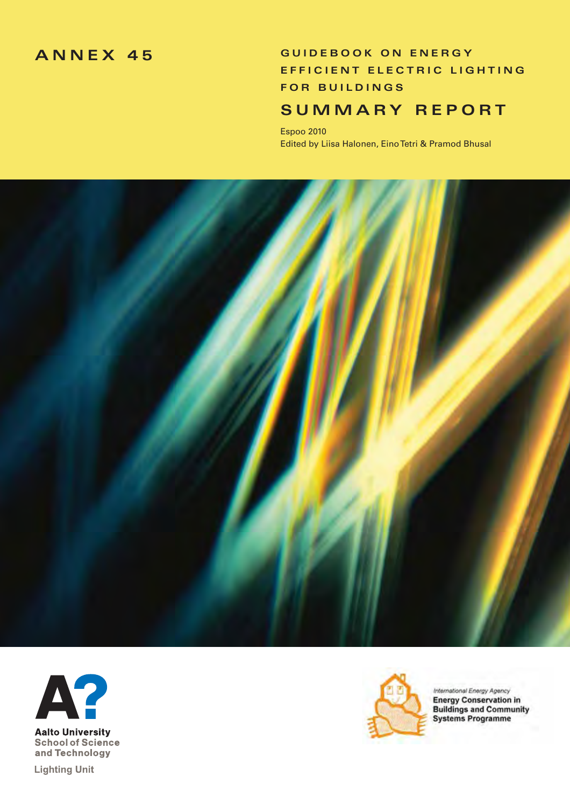## **ANNEX 45**

## **GUIDEBOOK ON ENERGY EFFICIENT ELECTRIC LIGHTING FOR BUILDINGS**

## **SUMMARY REPORT**

Espoo 2010 Edited by Liisa Halonen, Eino Tetri & Pramod Bhusal





**Lighting Unit** 



International Energy Agency **Energy Conservation in**<br>Buildings and Community<br>Systems Programme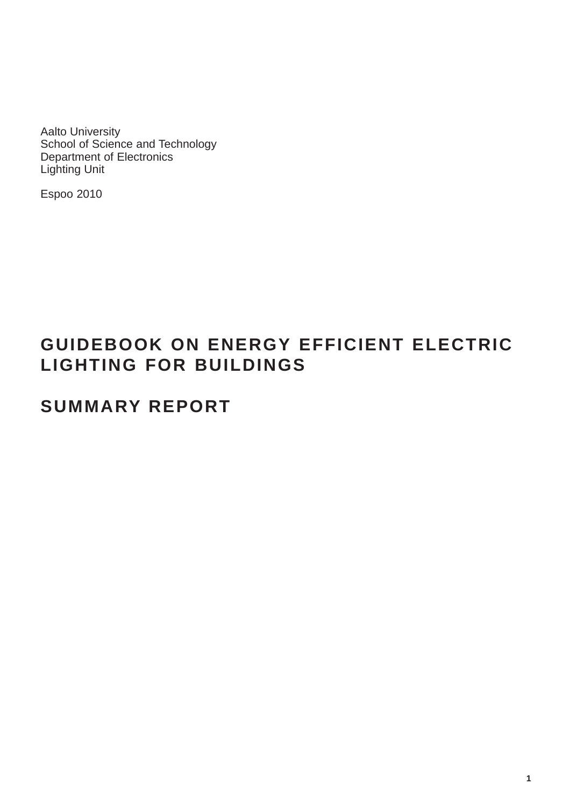Aalto University School of Science and Technology Department of Electronics Lighting Unit

Espoo 2010

# **GUIDEBOOK ON ENERGY EFFICIENT ELECTRIC LIGHTING FOR BUILDINGS**

# **SUMMARY REPORT**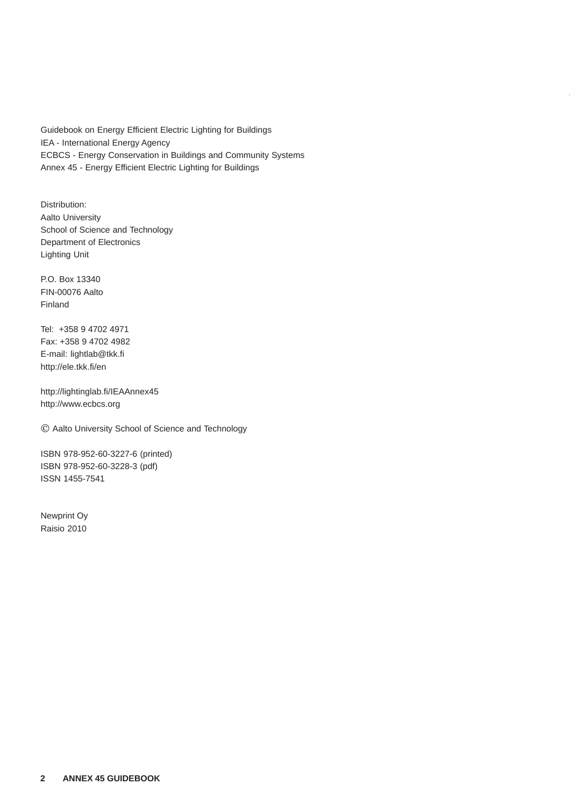Guidebook on Energy Efficient Electric Lighting for Buildings IEA - International Energy Agency ECBCS - Energy Conservation in Buildings and Community Systems Annex 45 - Energy Efficient Electric Lighting for Buildings

Distribution: Aalto University School of Science and Technology Department of Electronics Lighting Unit

P.O. Box 13340 FIN-00076 Aalto Finland

Tel: +358 9 4702 4971 Fax: +358 9 4702 4982 E-mail: lightlab@tkk.fi http://ele.tkk.fi/en

http://lightinglab.fi/IEAAnnex45 http://www.ecbcs.org

Aalto University School of Science and Technology ©

ISBN 978-952-60-3227-6 (printed) ISBN 978-952-60-3228-3 (pdf) ISSN 1455-7541

Newprint Oy Raisio 2010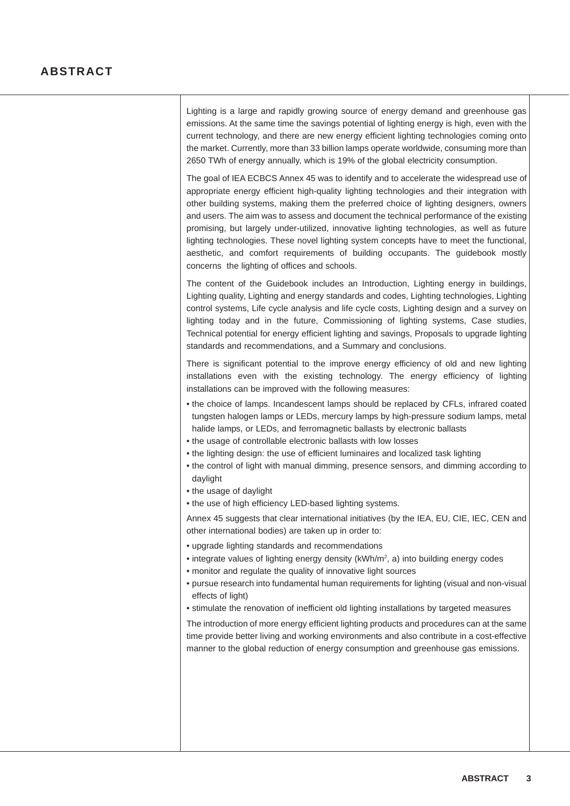Lighting is a large and rapidly growing source of energy demand and greenhouse gas emissions. At the same time the savings potential of lighting energy is high, even with the current technology, and there are new energy efficient lighting technologies coming onto the market. Currently, more than 33 billion lamps operate worldwide, consuming more than 2650 TWh of energy annually, which is 19% of the global electricity consumption.

The goal of IEA ECBCS Annex 45 was to identify and to accelerate the widespread use of appropriate energy efficient high-quality lighting technologies and their integration with other building systems, making them the preferred choice of lighting designers, owners and users. The aim was to assess and document the technical performance of the existing promising, but largely under-utilized, innovative lighting technologies, as well as future lighting technologies. These novel lighting system concepts have to meet the functional, aesthetic, and comfort requirements of building occupants. The guidebook mostly concerns the lighting of offices and schools.

The content of the Guidebook includes an Introduction, Lighting energy in buildings, Lighting quality, Lighting and energy standards and codes, Lighting technologies, Lighting control systems, Life cycle analysis and life cycle costs, Lighting design and a survey on lighting today and in the future, Commissioning of lighting systems, Case studies, Technical potential for energy efficient lighting and savings, Proposals to upgrade lighting standards and recommendations, and a Summary and conclusions.

There is significant potential to the improve energy efficiency of old and new lighting installations even with the existing technology. The energy efficiency of lighting installations can be improved with the following measures:

- the choice of lamps. Incandescent lamps should be replaced by CFLs, infrared coated tungsten halogen lamps or LEDs, mercury lamps by high-pressure sodium lamps, metal halide lamps, or LEDs, and ferromagnetic ballasts by electronic ballasts
- the usage of controllable electronic ballasts with low losses
- the lighting design: the use of efficient luminaires and localized task lighting
- the control of light with manual dimming, presence sensors, and dimming according to daylight
- the usage of daylight
- the use of high efficiency LED-based lighting systems.

Annex 45 suggests that clear international initiatives (by the IEA, EU, CIE, IEC, CEN and other international bodies) are taken up in order to:

- upgrade lighting standards and recommendations
- integrate values of lighting energy density (kWh/m<sup>2</sup>, a) into building energy codes
- monitor and regulate the quality of innovative light sources
- pursue research into fundamental human requirements for lighting (visual and non-visual effects of light)
- stimulate the renovation of inefficient old lighting installations by targeted measures

The introduction of more energy efficient lighting products and procedures can at the same time provide better living and working environments and also contribute in a cost-effective manner to the global reduction of energy consumption and greenhouse gas emissions.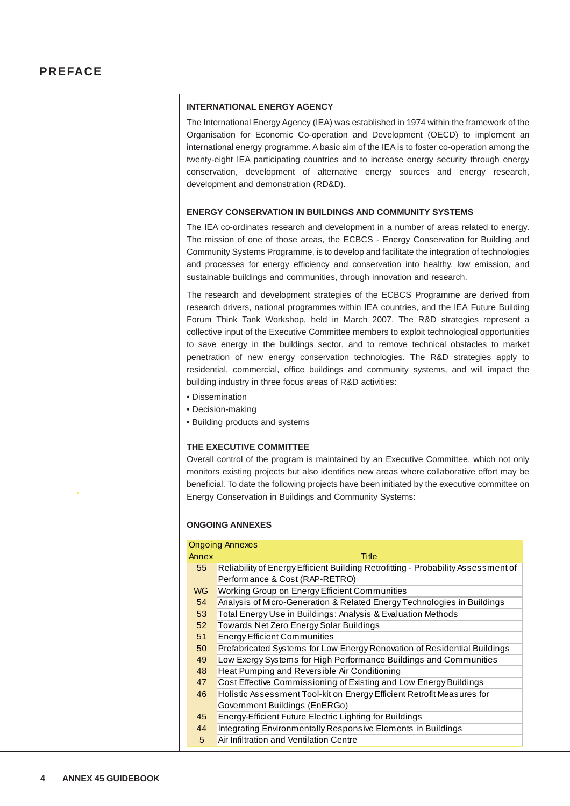#### **INTERNATIONAL ENERGY AGENCY**

The International Energy Agency (IEA) was established in 1974 within the framework of the Organisation for Economic Co-operation and Development (OECD) to implement an international energy programme. A basic aim of the IEA is to foster co-operation among the twenty-eight IEA participating countries and to increase energy security through energy conservation, development of alternative energy sources and energy research, development and demonstration (RD&D).

#### **ENERGY CONSERVATION IN BUILDINGS AND COMMUNITY SYSTEMS**

The IEA co-ordinates research and development in a number of areas related to energy. The mission of one of those areas, the ECBCS - Energy Conservation for Building and Community Systems Programme, is to develop and facilitate the integration of technologies and processes for energy efficiency and conservation into healthy, low emission, and sustainable buildings and communities, through innovation and research.

The research and development strategies of the ECBCS Programme are derived from research drivers, national programmes within IEA countries, and the IEA Future Building Forum Think Tank Workshop, held in March 2007. The R&D strategies represent a collective input of the Executive Committee members to exploit technological opportunities to save energy in the buildings sector, and to remove technical obstacles to market penetration of new energy conservation technologies. The R&D strategies apply to residential, commercial, office buildings and community systems, and will impact the building industry in three focus areas of R&D activities:

- Dissemination
- Decision-making
- Building products and systems

#### **THE EXECUTIVE COMMITTEE**

Overall control of the program is maintained by an Executive Committee, which not only monitors existing projects but also identifies new areas where collaborative effort may be beneficial. To date the following projects have been initiated by the executive committee on Energy Conservation in Buildings and Community Systems:

#### **ONGOING ANNEXES**

|       | <b>Ongoing Annexes</b>                                                            |
|-------|-----------------------------------------------------------------------------------|
| Annex | Title                                                                             |
| 55    | Reliability of Energy Efficient Building Retrofitting - Probability Assessment of |
|       | Performance & Cost (RAP-RETRO)                                                    |
| WG.   | Working Group on Energy Efficient Communities                                     |
| 54    | Analysis of Micro-Generation & Related Energy Technologies in Buildings           |
| 53    | Total Energy Use in Buildings: Analysis & Evaluation Methods                      |
| 52    | Towards Net Zero Energy Solar Buildings                                           |
| 51    | <b>Energy Efficient Communities</b>                                               |
| 50    | Prefabricated Systems for Low Energy Renovation of Residential Buildings          |
| 49    | Low Exergy Systems for High Performance Buildings and Communities                 |
| 48    | Heat Pumping and Reversible Air Conditioning                                      |
| 47    | Cost Effective Commissioning of Existing and Low Energy Buildings                 |
| 46    | Holistic Assessment Tool-kit on Energy Efficient Retrofit Measures for            |
|       | Government Buildings (EnERGo)                                                     |
| 45    | Energy-Efficient Future Electric Lighting for Buildings                           |
| 44    | Integrating Environmentally Responsive Elements in Buildings                      |
|       |                                                                                   |

5 Air Infiltration and Ventilation Centre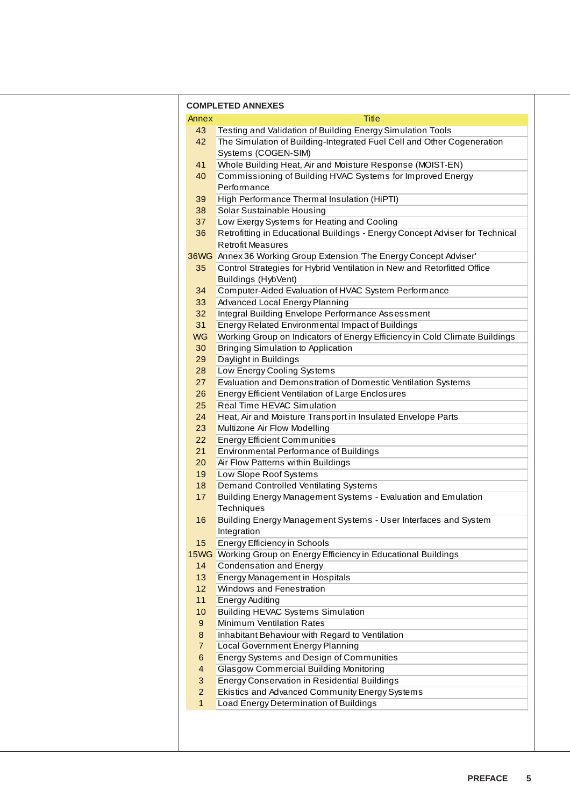| Annex           | Title                                                                        |
|-----------------|------------------------------------------------------------------------------|
| 43              | Testing and Validation of Building Energy Simulation Tools                   |
| 42              | The Simulation of Building-Integrated Fuel Cell and Other Cogeneration       |
|                 | Systems (COGEN-SIM)                                                          |
| 41              | Whole Building Heat, Air and Moisture Response (MOIST-EN)                    |
| 40              | Commissioning of Building HVAC Systems for Improved Energy                   |
|                 | Performance                                                                  |
| 39              | High Performance Thermal Insulation (HiPTI)                                  |
| 38              | Solar Sustainable Housing                                                    |
| 37              | Low Exergy Systems for Heating and Cooling                                   |
| 36              | Retrofitting in Educational Buildings - Energy Concept Adviser for Technical |
|                 | <b>Retrofit Measures</b>                                                     |
|                 | 36WG Annex 36 Working Group Extension 'The Energy Concept Adviser'           |
| 35              | Control Strategies for Hybrid Ventilation in New and Retorfitted Office      |
|                 | Buildings (HybVent)                                                          |
| 34              | Computer-Aided Evaluation of HVAC System Performance                         |
| 33              | Advanced Local Energy Planning                                               |
| 32 <sub>2</sub> | Integral Building Envelope Performance Assessment                            |
| 31              | <b>Energy Related Environmental Impact of Buildings</b>                      |
|                 |                                                                              |
| <b>WG</b>       | Working Group on Indicators of Energy Efficiency in Cold Climate Buildings   |
| 30              | <b>Bringing Simulation to Application</b>                                    |
| 29              | Daylight in Buildings                                                        |
| 28              | Low Energy Cooling Systems                                                   |
| 27              | Evaluation and Demonstration of Domestic Ventilation Systems                 |
| 26              | <b>Energy Efficient Ventilation of Large Enclosures</b>                      |
| 25              | Real Time HEVAC Simulation                                                   |
| 24              | Heat, Air and Moisture Transport in Insulated Envelope Parts                 |
| 23              | Multizone Air Flow Modelling                                                 |
| 22 <sub>2</sub> | <b>Energy Efficient Communities</b>                                          |
| 21              | <b>Environmental Performance of Buildings</b>                                |
| 20              | Air Flow Patterns within Buildings                                           |
| 19              | Low Slope Roof Systems                                                       |
| 18              | <b>Demand Controlled Ventilating Systems</b>                                 |
| 17 <sup>2</sup> | Building Energy Management Systems - Evaluation and Emulation                |
|                 | Techniques                                                                   |
| 16              | Building Energy Management Systems - User Interfaces and System              |
|                 | Integration                                                                  |
| $15\,$          | <b>Energy Efficiency in Schools</b>                                          |
|                 | 15WG Working Group on Energy Efficiency in Educational Buildings             |
| 14              | <b>Condensation and Energy</b>                                               |
| 13 <sup>°</sup> | <b>Energy Management in Hospitals</b>                                        |
| 12 <sup>°</sup> | <b>Windows and Fenestration</b>                                              |
| 11              | <b>Energy Auditing</b>                                                       |
| 10 <sup>°</sup> | <b>Building HEVAC Systems Simulation</b>                                     |
| 9               | <b>Minimum Ventilation Rates</b>                                             |
| 8               | Inhabitant Behaviour with Regard to Ventilation                              |
| $\overline{7}$  | Local Government Energy Planning                                             |
| 6               | Energy Systems and Design of Communities                                     |
| $\overline{4}$  | <b>Glasgow Commercial Building Monitoring</b>                                |
| 3               | <b>Energy Conservation in Residential Buildings</b>                          |
| $\overline{2}$  | Ekistics and Advanced Community Energy Systems                               |
| $\mathbf{1}$    | Load Energy Determination of Buildings                                       |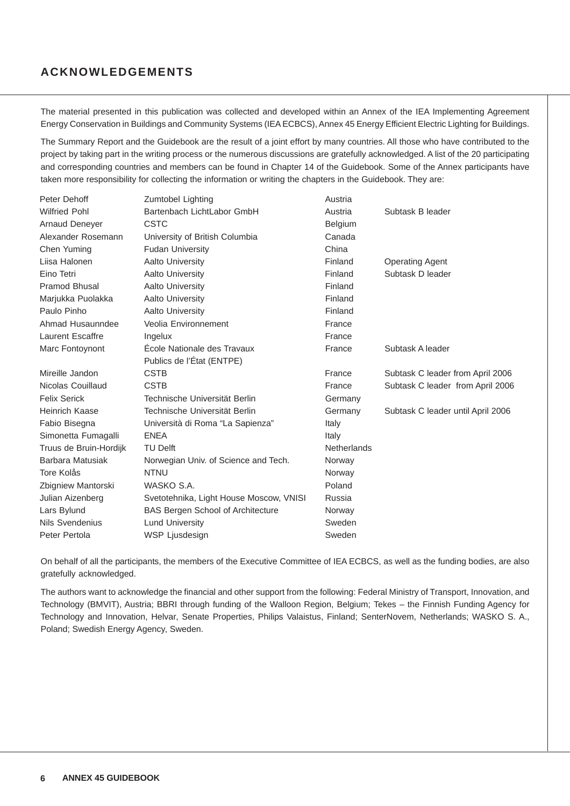## **ACKNOWLEDGEMENTS**

The material presented in this publication was collected and developed within an Annex of the IEA Implementing Agreement Energy Conservation in Buildings and Community Systems (IEA ECBCS), Annex 45 Energy Efficient Electric Lighting for Buildings.

The Summary Report and the Guidebook are the result of a joint effort by many countries. All those who have contributed to the project by taking part in the writing process or the numerous discussions are gratefully acknowledged. A list of the 20 participating and corresponding countries and members can be found in Chapter 14 of the Guidebook. Some of the Annex participants have taken more responsibility for collecting the information or writing the chapters in the Guidebook. They are:

| Peter Dehoff            | Zumtobel Lighting                        | Austria            |                                   |
|-------------------------|------------------------------------------|--------------------|-----------------------------------|
| <b>Wilfried Pohl</b>    | Bartenbach LichtLabor GmbH               | Austria            | Subtask B leader                  |
| <b>Arnaud Deneyer</b>   | <b>CSTC</b>                              | Belgium            |                                   |
| Alexander Rosemann      | University of British Columbia           | Canada             |                                   |
| Chen Yuming             | <b>Fudan University</b>                  | China              |                                   |
| Liisa Halonen           | <b>Aalto University</b>                  | Finland            | <b>Operating Agent</b>            |
| Eino Tetri              | <b>Aalto University</b>                  | Finland            | Subtask D leader                  |
| <b>Pramod Bhusal</b>    | <b>Aalto University</b>                  | Finland            |                                   |
| Marjukka Puolakka       | <b>Aalto University</b>                  | Finland            |                                   |
| Paulo Pinho             | <b>Aalto University</b>                  | Finland            |                                   |
| Ahmad Husaunndee        | Veolia Environnement                     | France             |                                   |
| <b>Laurent Escaffre</b> | Ingelux                                  | France             |                                   |
| Marc Fontoynont         | École Nationale des Travaux              | France             | Subtask A leader                  |
|                         | Publics de l'État (ENTPE)                |                    |                                   |
| Mireille Jandon         | <b>CSTB</b>                              | France             | Subtask C leader from April 2006  |
| Nicolas Couillaud       | <b>CSTB</b>                              | France             | Subtask C leader from April 2006  |
| <b>Felix Serick</b>     | Technische Universität Berlin            | Germany            |                                   |
| <b>Heinrich Kaase</b>   | Technische Universität Berlin            | Germany            | Subtask C leader until April 2006 |
| Fabio Bisegna           | Università di Roma "La Sapienza"         | Italy              |                                   |
| Simonetta Fumagalli     | <b>ENEA</b>                              | Italy              |                                   |
| Truus de Bruin-Hordijk  | <b>TU Delft</b>                          | <b>Netherlands</b> |                                   |
| Barbara Matusiak        | Norwegian Univ. of Science and Tech.     | Norway             |                                   |
| Tore Kolås              | <b>NTNU</b>                              | Norway             |                                   |
| Zbigniew Mantorski      | WASKO S.A.                               | Poland             |                                   |
| Julian Aizenberg        | Svetotehnika, Light House Moscow, VNISI  | Russia             |                                   |
| Lars Bylund             | <b>BAS Bergen School of Architecture</b> | Norway             |                                   |
| Nils Svendenius         | <b>Lund University</b>                   | Sweden             |                                   |
| Peter Pertola           | WSP Ljusdesign                           | Sweden             |                                   |

On behalf of all the participants, the members of the Executive Committee of IEA ECBCS, as well as the funding bodies, are also gratefully acknowledged.

The authors want to acknowledge the financial and other support from the following: Federal Ministry of Transport, Innovation, and Technology (BMVIT), Austria; BBRI through funding of the Walloon Region, Belgium; Tekes – the Finnish Funding Agency for Technology and Innovation, Helvar, Senate Properties, Philips Valaistus, Finland; SenterNovem, Netherlands; WASKO S. A., Poland; Swedish Energy Agency, Sweden.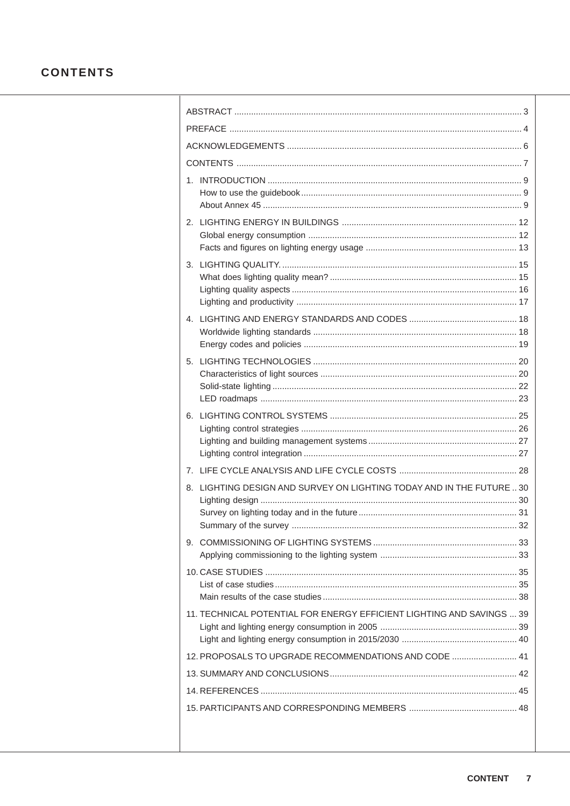## **CONTENTS**

T

| 8. LIGHTING DESIGN AND SURVEY ON LIGHTING TODAY AND IN THE FUTURE  30 |  |
|-----------------------------------------------------------------------|--|
|                                                                       |  |
|                                                                       |  |
| 11. TECHNICAL POTENTIAL FOR ENERGY EFFICIENT LIGHTING AND SAVINGS  39 |  |
| 12. PROPOSALS TO UPGRADE RECOMMENDATIONS AND CODE  41                 |  |
|                                                                       |  |
|                                                                       |  |
|                                                                       |  |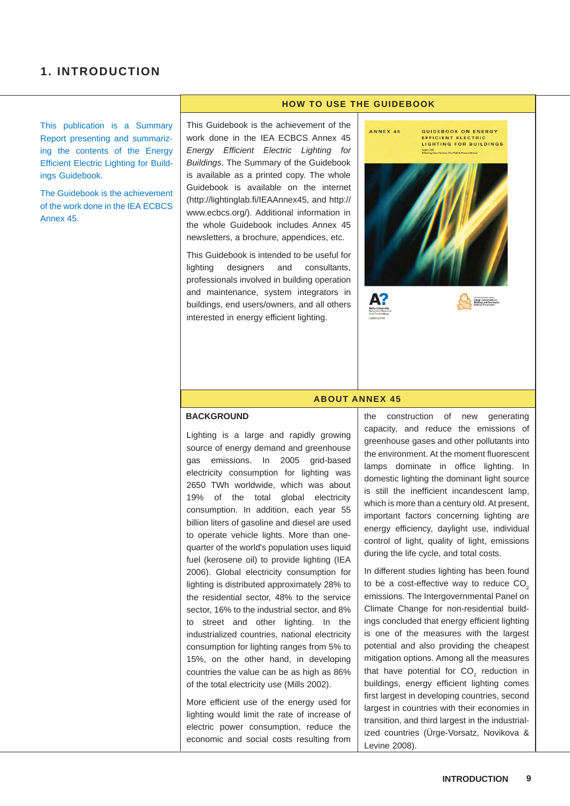## **1. INTRODUCTION**

This publication is a Summary Report presenting and summarizing the contents of the Energy Efficient Electric Lighting for Buildings Guidebook.

The Guidebook is the achievement of the work done in the IEA ECBCS Annex 45.

#### **HOW TO USE THE GUIDEBOOK**

This Guidebook is the achievement of the work done in the IEA ECBCS Annex 45 *Energy Efficient Electric Lighting for Buildings*. The Summary of the Guidebook is available as a printed copy. The whole Guidebook is available on the internet (http://lightinglab.fi/IEAAnnex45, and http:// www.ecbcs.org/). Additional information in the whole Guidebook includes Annex 45 newsletters, a brochure, appendices, etc.

This Guidebook is intended to be useful for lighting designers and consultants, professionals involved in building operation and maintenance, system integrators in buildings, end users/owners, and all others interested in energy efficient lighting.





#### **BACKGROUND**

Lighting is a large and rapidly growing source of energy demand and greenhouse gas emissions. In 2005 grid-based electricity consumption for lighting was 2650 TWh worldwide, which was about 19% of the total global electricity consumption. In addition, each year 55 billion liters of gasoline and diesel are used to operate vehicle lights. More than onequarter of the world's population uses liquid fuel (kerosene oil) to provide lighting (IEA 2006). Global electricity consumption for lighting is distributed approximately 28% to the residential sector, 48% to the service sector, 16% to the industrial sector, and 8% to street and other lighting. In the industrialized countries, national electricity consumption for lighting ranges from 5% to 15%, on the other hand, in developing countries the value can be as high as 86% of the total electricity use (Mills 2002).

More efficient use of the energy used for lighting would limit the rate of increase of electric power consumption, reduce the economic and social costs resulting from the construction of new generating capacity, and reduce the emissions of greenhouse gases and other pollutants into the environment. At the moment fluorescent lamps dominate in office lighting. In domestic lighting the dominant light source is still the inefficient incandescent lamp, which is more than a century old. At present, important factors concerning lighting are energy efficiency, daylight use, individual control of light, quality of light, emissions during the life cycle, and total costs.

In different studies lighting has been found to be a cost-effective way to reduce CO<sub>2</sub> emissions. The Intergovernmental Panel on Climate Change for non-residential buildings concluded that energy efficient lighting is one of the measures with the largest potential and also providing the cheapest mitigation options. Among all the measures that have potential for CO<sub>2</sub> reduction in buildings, energy efficient lighting comes first largest in developing countries, second largest in countries with their economies in transition, and third largest in the industrialized countries (Ürge-Vorsatz, Novikova & Levine 2008).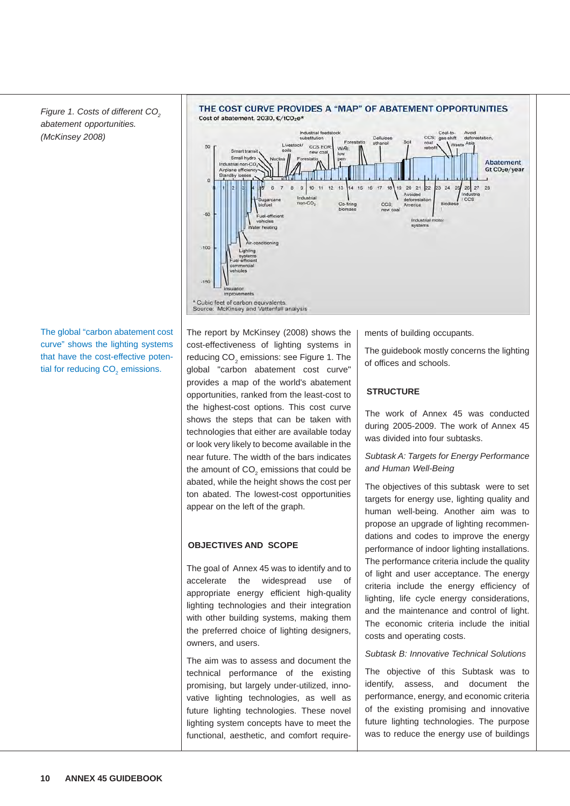*Figure 1. Costs of different CO<sub>2</sub> abatement opportunities. (McKinsey 2008)*

THE COST CURVE PROVIDES A "MAP" OF ABATEMENT OPPORTUNITIES Cost of abatement, 2030, C/tCO<sub>2</sub>e\* Industrial feeds ccs: substitution  $\alpha$ a CCS FOR **Abatement** Gt CO<sub>2</sub>e/year  $\overline{a}$ 10 11 12 19 20 21  $|_{22}$  $23 \t24$  $26$  $27$  $13$ 14 15 16  $28$ CCS  $n$ -CO. ccs  $-50$ conditioning  $-100$  $40$ \* Cubic feet of carbon equivalents.<br>Source: McKinsey and Vattenfall analysis

The global "carbon abatement cost" curve" shows the lighting systems that have the cost-effective potential for reducing  $\mathsf{CO}_2$  emissions.

The report by McKinsey (2008) shows the cost-effectiveness of lighting systems in reducing CO $_{\tiny 2}$  emissions: see Figure 1. The global "carbon abatement cost curve" provides a map of the world's abatement opportunities, ranked from the least-cost to the highest-cost options. This cost curve shows the steps that can be taken with technologies that either are available today or look very likely to become available in the near future. The width of the bars indicates the amount of CO $_{_2}$  emissions that could be abated, while the height shows the cost per ton abated. The lowest-cost opportunities appear on the left of the graph.

#### **OBJECTIVES AND SCOPE**

The goal of Annex 45 was to identify and to accelerate the widespread use of appropriate energy efficient high-quality lighting technologies and their integration with other building systems, making them the preferred choice of lighting designers, owners, and users.

The aim was to assess and document the technical performance of the existing promising, but largely under-utilized, innovative lighting technologies, as well as future lighting technologies. These novel lighting system concepts have to meet the functional, aesthetic, and comfort requirements of building occupants.

The guidebook mostly concerns the lighting of offices and schools.

#### **STRUCTURE**

The work of Annex 45 was conducted during 2005-2009. The work of Annex 45 was divided into four subtasks.

*Subtask A: Targets for Energy Performance and Human Well-Being*

The objectives of this subtask were to set targets for energy use, lighting quality and human well-being. Another aim was to propose an upgrade of lighting recommendations and codes to improve the energy performance of indoor lighting installations. The performance criteria include the quality of light and user acceptance. The energy criteria include the energy efficiency of lighting, life cycle energy considerations, and the maintenance and control of light. The economic criteria include the initial costs and operating costs.

*Subtask B: Innovative Technical Solutions*

The objective of this Subtask was to identify, assess, and document the performance, energy, and economic criteria of the existing promising and innovative future lighting technologies. The purpose was to reduce the energy use of buildings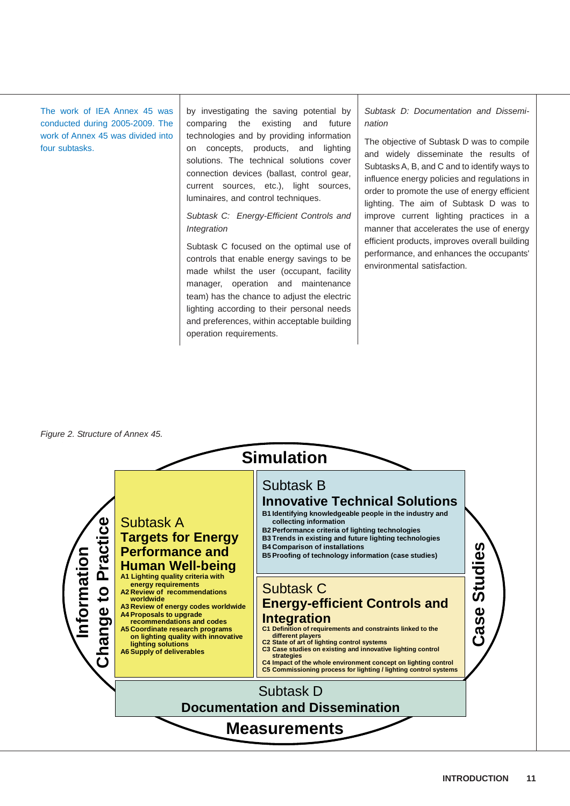The work of IEA Annex 45 was conducted during 2005-2009. The work of Annex 45 was divided into four subtasks.

by investigating the saving potential by comparing the existing and future technologies and by providing information on concepts, products, and lighting solutions. The technical solutions cover connection devices (ballast, control gear, current sources, etc.), light sources, luminaires, and control techniques.

#### *Subtask C: Energy-Efficient Controls and Integration*

Subtask C focused on the optimal use of controls that enable energy savings to be made whilst the user (occupant, facility manager, operation and maintenance team) has the chance to adjust the electric lighting according to their personal needs and preferences, within acceptable building operation requirements.

*Subtask D: Documentation and Dissemination*

The objective of Subtask D was to compile and widely disseminate the results of Subtasks A, B, and C and to identify ways to influence energy policies and regulations in order to promote the use of energy efficient lighting. The aim of Subtask D was to improve current lighting practices in a manner that accelerates the use of energy efficient products, improves overall building performance, and enhances the occupants' environmental satisfaction.

#### *Figure 2. Structure of Annex 45.*

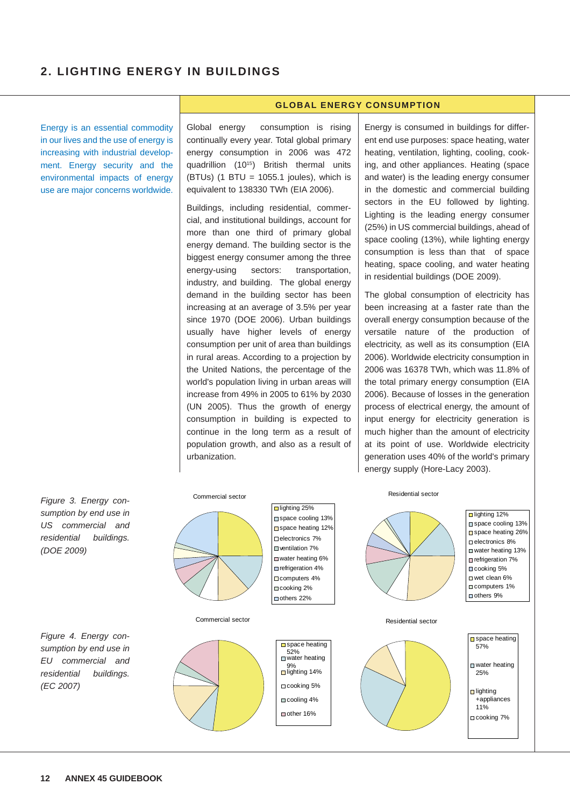## **2. LIGHTING ENERGY IN BUILDINGS**

Energy is an essential commodity in our lives and the use of energy is increasing with industrial development. Energy security and the environmental impacts of energy use are major concerns worldwide. Global energy consumption is rising continually every year. Total global primary energy consumption in 2006 was 472 quadrillion (1015) British thermal units (BTUs) (1 BTU = 1055.1 joules), which is equivalent to 138330 TWh (EIA 2006).

**GLOBAL ENERGY CONSUMPTION**

Buildings, including residential, commercial, and institutional buildings, account for more than one third of primary global energy demand. The building sector is the biggest energy consumer among the three energy-using sectors: transportation, industry, and building. The global energy demand in the building sector has been increasing at an average of 3.5% per year since 1970 (DOE 2006). Urban buildings usually have higher levels of energy consumption per unit of area than buildings in rural areas. According to a projection by the United Nations, the percentage of the world's population living in urban areas will increase from 49% in 2005 to 61% by 2030 (UN 2005). Thus the growth of energy consumption in building is expected to continue in the long term as a result of population growth, and also as a result of urbanization.

Energy is consumed in buildings for different end use purposes: space heating, water heating, ventilation, lighting, cooling, cooking, and other appliances. Heating (space and water) is the leading energy consumer in the domestic and commercial building sectors in the EU followed by lighting. Lighting is the leading energy consumer (25%) in US commercial buildings, ahead of space cooling (13%), while lighting energy consumption is less than that of space heating, space cooling, and water heating in residential buildings (DOE 2009).

The global consumption of electricity has been increasing at a faster rate than the overall energy consumption because of the versatile nature of the production of electricity, as well as its consumption (EIA 2006). Worldwide electricity consumption in 2006 was 16378 TWh, which was 11.8% of the total primary energy consumption (EIA 2006). Because of losses in the generation process of electrical energy, the amount of input energy for electricity generation is much higher than the amount of electricity at its point of use. Worldwide electricity generation uses 40% of the world's primary energy supply (Hore-Lacy 2003).

Commercial sector space heating 52% water heating 9% lighting 14% cooking 5%  $\Box$ cooling 4% other 16% Residential sector space heating 57% water heating 25% lighting +appliances 11% □ cooking 7% Commercial sector □ lighting 25% space cooling 13% □ space heating 12%  $\Box$ electronics 7% ventilation 7% water heating 6% **□** refrigeration 4% □ computers 4% cooking 2% others 22% Residential sector  $\Box$ lighting 12% space cooling 13% □ space heating 26% electronics 8% water heating 13% refrigeration 7% cooking 5% wet clean 6% computers 1% others 9%

*Figure 3. Energy consumption by end use in US commercial and residential buildings. (DOE 2009)*

*Figure 4. Energy consumption by end use in EU commercial and residential buildings. (EC 2007)*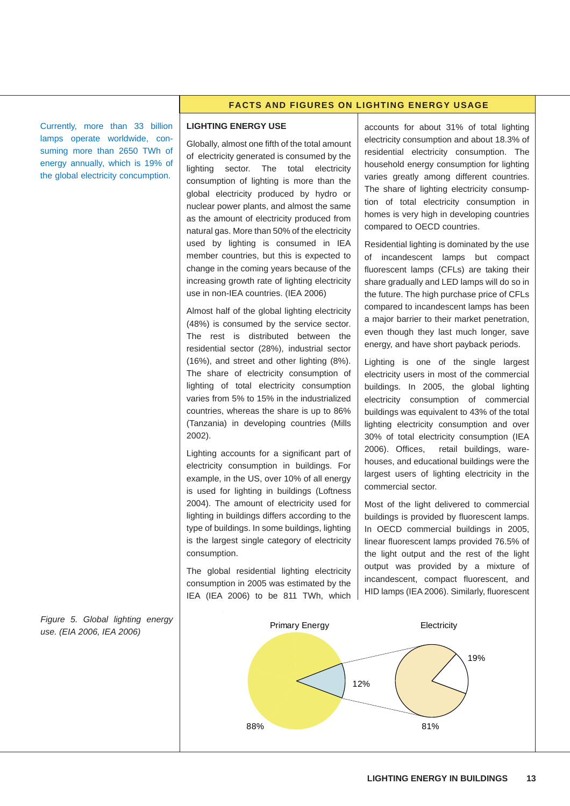#### **FACTS AND FIGURES ON LIGHTING ENERGY USAGE**

Currently, more than 33 billion lamps operate worldwide, consuming more than 2650 TWh of energy annually, which is 19% of the global electricity concumption.

#### **LIGHTING ENERGY USE**

Globally, almost one fifth of the total amount of electricity generated is consumed by the lighting sector. The total electricity consumption of lighting is more than the global electricity produced by hydro or nuclear power plants, and almost the same as the amount of electricity produced from natural gas. More than 50% of the electricity used by lighting is consumed in IEA member countries, but this is expected to change in the coming years because of the increasing growth rate of lighting electricity use in non-IEA countries. (IEA 2006)

Almost half of the global lighting electricity (48%) is consumed by the service sector. The rest is distributed between the residential sector (28%), industrial sector (16%), and street and other lighting (8%). The share of electricity consumption of lighting of total electricity consumption varies from 5% to 15% in the industrialized countries, whereas the share is up to 86% (Tanzania) in developing countries (Mills 2002).

Lighting accounts for a significant part of electricity consumption in buildings. For example, in the US, over 10% of all energy is used for lighting in buildings (Loftness 2004). The amount of electricity used for lighting in buildings differs according to the type of buildings. In some buildings, lighting is the largest single category of electricity consumption.

The global residential lighting electricity consumption in 2005 was estimated by the IEA (IEA 2006) to be 811 TWh, which accounts for about 31% of total lighting electricity consumption and about 18.3% of residential electricity consumption. The household energy consumption for lighting varies greatly among different countries. The share of lighting electricity consumption of total electricity consumption in homes is very high in developing countries compared to OECD countries.

Residential lighting is dominated by the use of incandescent lamps but compact fluorescent lamps (CFLs) are taking their share gradually and LED lamps will do so in the future. The high purchase price of CFLs compared to incandescent lamps has been a major barrier to their market penetration, even though they last much longer, save energy, and have short payback periods.

Lighting is one of the single largest electricity users in most of the commercial buildings. In 2005, the global lighting electricity consumption of commercial buildings was equivalent to 43% of the total lighting electricity consumption and over 30% of total electricity consumption (IEA 2006). Offices, retail buildings, warehouses, and educational buildings were the largest users of lighting electricity in the commercial sector.

Most of the light delivered to commercial buildings is provided by fluorescent lamps. In OECD commercial buildings in 2005, linear fluorescent lamps provided 76.5% of the light output and the rest of the light output was provided by a mixture of incandescent, compact fluorescent, and HID lamps (IEA 2006). Similarly, fluorescent

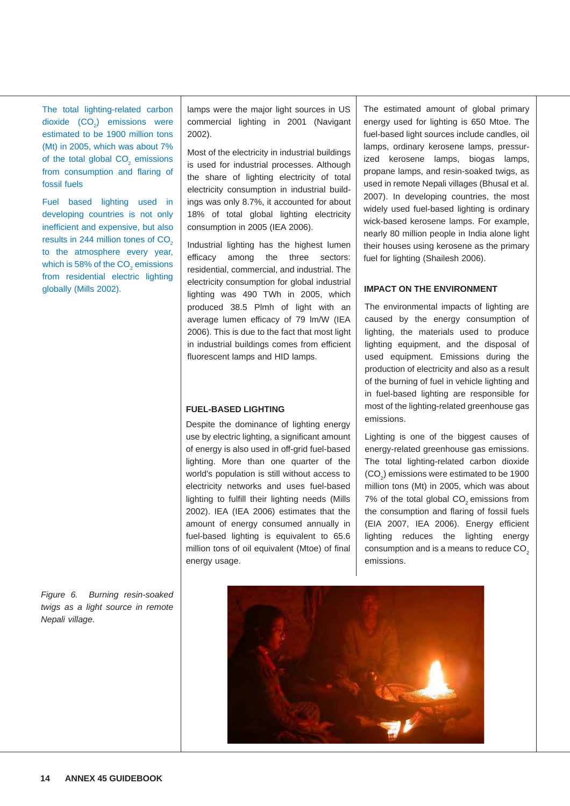The total lighting-related carbon dioxide (CO $_{2}$ ) emissions were estimated to be 1900 million tons (Mt) in 2005, which was about 7% of the total global  $\mathsf{CO}_2$  emissions from consumption and flaring of fossil fuels

Fuel based lighting used in developing countries is not only inefficient and expensive, but also results in 244 million tones of  $CO<sub>2</sub>$ to the atmosphere every year, which is 58% of the CO $_{\rm 2}$  emissions from residential electric lighting globally (Mills 2002).

lamps were the major light sources in US commercial lighting in 2001 (Navigant 2002).

Most of the electricity in industrial buildings is used for industrial processes. Although the share of lighting electricity of total electricity consumption in industrial buildings was only 8.7%, it accounted for about 18% of total global lighting electricity consumption in 2005 (IEA 2006).

Industrial lighting has the highest lumen efficacy among the three sectors: residential, commercial, and industrial. The electricity consumption for global industrial lighting was 490 TWh in 2005, which produced 38.5 Plmh of light with an average lumen efficacy of 79 lm/W (IEA 2006). This is due to the fact that most light in industrial buildings comes from efficient fluorescent lamps and HID lamps.

#### **FUEL-BASED LIGHTING**

Despite the dominance of lighting energy use by electric lighting, a significant amount of energy is also used in off-grid fuel-based lighting. More than one quarter of the world's population is still without access to electricity networks and uses fuel-based lighting to fulfill their lighting needs (Mills 2002). IEA (IEA 2006) estimates that the amount of energy consumed annually in fuel-based lighting is equivalent to 65.6 million tons of oil equivalent (Mtoe) of final energy usage.

The estimated amount of global primary energy used for lighting is 650 Mtoe. The fuel-based light sources include candles, oil lamps, ordinary kerosene lamps, pressurized kerosene lamps, biogas lamps, propane lamps, and resin-soaked twigs, as used in remote Nepali villages (Bhusal et al. 2007). In developing countries, the most widely used fuel-based lighting is ordinary wick-based kerosene lamps. For example, nearly 80 million people in India alone light their houses using kerosene as the primary fuel for lighting (Shailesh 2006).

## **IMPACT ON THE ENVIRONMENT**

The environmental impacts of lighting are caused by the energy consumption of lighting, the materials used to produce lighting equipment, and the disposal of used equipment. Emissions during the production of electricity and also as a result of the burning of fuel in vehicle lighting and in fuel-based lighting are responsible for most of the lighting-related greenhouse gas emissions.

Lighting is one of the biggest causes of energy-related greenhouse gas emissions. The total lighting-related carbon dioxide  $\left(\mathsf{CO}_2\right)$  emissions were estimated to be 1900 million tons (Mt) in 2005, which was about 7% of the total global CO<sub>2</sub> emissions from the consumption and flaring of fossil fuels (EIA 2007, IEA 2006). Energy efficient lighting reduces the lighting energy consumption and is a means to reduce CO<sub>2</sub> emissions.



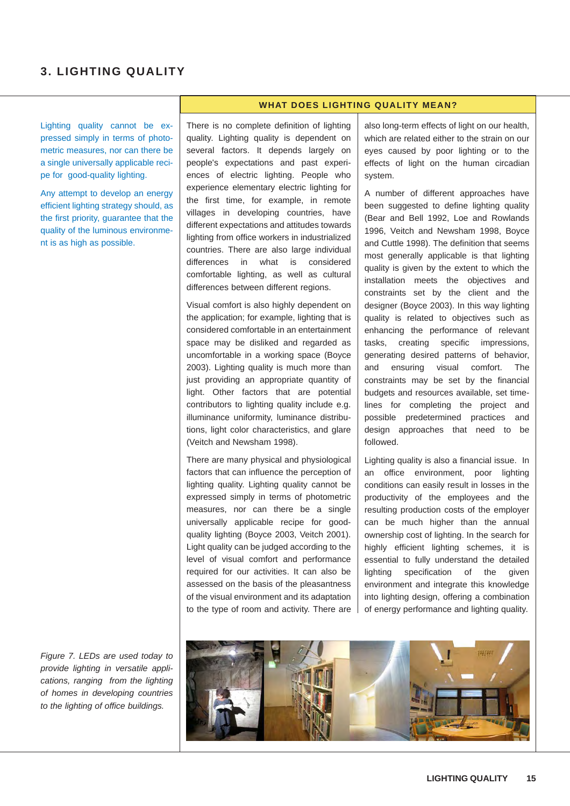## **3. LIGHTING QUALITY**

Lighting quality cannot be expressed simply in terms of photometric measures, nor can there be a single universally applicable recipe for good-quality lighting.

Any attempt to develop an energy efficient lighting strategy should, as the first priority, guarantee that the quality of the luminous environment is as high as possible.

There is no complete definition of lighting quality. Lighting quality is dependent on several factors. It depends largely on people's expectations and past experiences of electric lighting. People who experience elementary electric lighting for the first time, for example, in remote villages in developing countries, have different expectations and attitudes towards lighting from office workers in industrialized countries. There are also large individual differences in what is considered comfortable lighting, as well as cultural differences between different regions.

Visual comfort is also highly dependent on the application; for example, lighting that is considered comfortable in an entertainment space may be disliked and regarded as uncomfortable in a working space (Boyce 2003). Lighting quality is much more than just providing an appropriate quantity of light. Other factors that are potential contributors to lighting quality include e.g. illuminance uniformity, luminance distributions, light color characteristics, and glare (Veitch and Newsham 1998).

There are many physical and physiological factors that can influence the perception of lighting quality. Lighting quality cannot be expressed simply in terms of photometric measures, nor can there be a single universally applicable recipe for goodquality lighting (Boyce 2003, Veitch 2001). Light quality can be judged according to the level of visual comfort and performance required for our activities. It can also be assessed on the basis of the pleasantness of the visual environment and its adaptation to the type of room and activity. There are also long-term effects of light on our health, which are related either to the strain on our eyes caused by poor lighting or to the effects of light on the human circadian system.

**WHAT DOES LIGHTING QUALITY MEAN?**

A number of different approaches have been suggested to define lighting quality (Bear and Bell 1992, Loe and Rowlands 1996, Veitch and Newsham 1998, Boyce and Cuttle 1998). The definition that seems most generally applicable is that lighting quality is given by the extent to which the installation meets the objectives and constraints set by the client and the designer (Boyce 2003). In this way lighting quality is related to objectives such as enhancing the performance of relevant tasks, creating specific impressions, generating desired patterns of behavior, and ensuring visual comfort. The constraints may be set by the financial budgets and resources available, set timelines for completing the project and possible predetermined practices and design approaches that need to be followed.

Lighting quality is also a financial issue. In an office environment, poor lighting conditions can easily result in losses in the productivity of the employees and the resulting production costs of the employer can be much higher than the annual ownership cost of lighting. In the search for highly efficient lighting schemes, it is essential to fully understand the detailed lighting specification of the given environment and integrate this knowledge into lighting design, offering a combination of energy performance and lighting quality.

*Figure 7. LEDs are used today to provide lighting in versatile applications, ranging from the lighting of homes in developing countries to the lighting of office buildings.*

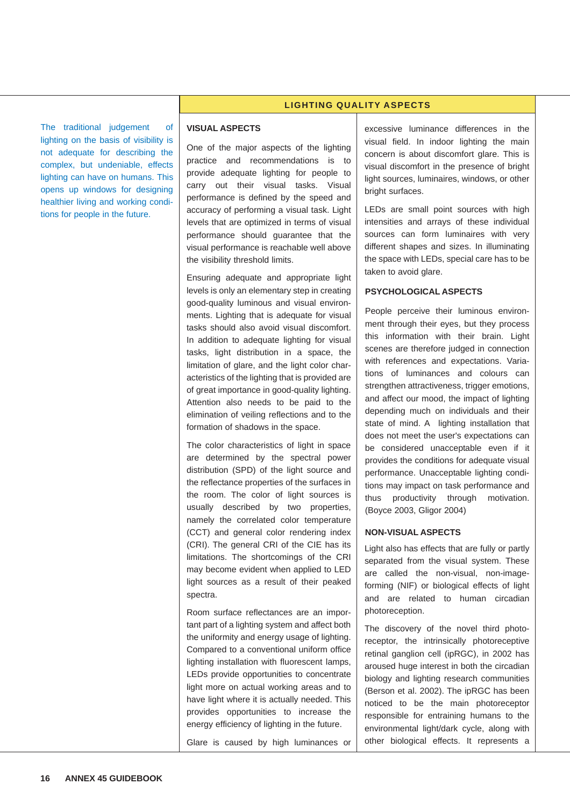#### **LIGHTING QUALITY ASPECTS**

The traditional judgement of lighting on the basis of visibility is not adequate for describing the complex, but undeniable, effects lighting can have on humans. This opens up windows for designing healthier living and working conditions for people in the future.

#### **VISUAL ASPECTS**

One of the major aspects of the lighting practice and recommendations is to provide adequate lighting for people to carry out their visual tasks. Visual performance is defined by the speed and accuracy of performing a visual task. Light levels that are optimized in terms of visual performance should guarantee that the visual performance is reachable well above the visibility threshold limits.

Ensuring adequate and appropriate light levels is only an elementary step in creating good-quality luminous and visual environments. Lighting that is adequate for visual tasks should also avoid visual discomfort. In addition to adequate lighting for visual tasks, light distribution in a space, the limitation of glare, and the light color characteristics of the lighting that is provided are of great importance in good-quality lighting. Attention also needs to be paid to the elimination of veiling reflections and to the formation of shadows in the space.

The color characteristics of light in space are determined by the spectral power distribution (SPD) of the light source and the reflectance properties of the surfaces in the room. The color of light sources is usually described by two properties, namely the correlated color temperature (CCT) and general color rendering index (CRI). The general CRI of the CIE has its limitations. The shortcomings of the CRI may become evident when applied to LED light sources as a result of their peaked spectra.

Room surface reflectances are an important part of a lighting system and affect both the uniformity and energy usage of lighting. Compared to a conventional uniform office lighting installation with fluorescent lamps, LEDs provide opportunities to concentrate light more on actual working areas and to have light where it is actually needed. This provides opportunities to increase the energy efficiency of lighting in the future.

Glare is caused by high luminances or

excessive luminance differences in the visual field. In indoor lighting the main concern is about discomfort glare. This is visual discomfort in the presence of bright light sources, luminaires, windows, or other bright surfaces.

LEDs are small point sources with high intensities and arrays of these individual sources can form luminaires with very different shapes and sizes. In illuminating the space with LEDs, special care has to be taken to avoid glare.

#### **PSYCHOLOGICAL ASPECTS**

People perceive their luminous environment through their eyes, but they process this information with their brain. Light scenes are therefore judged in connection with references and expectations. Variations of luminances and colours can strengthen attractiveness, trigger emotions, and affect our mood, the impact of lighting depending much on individuals and their state of mind. A lighting installation that does not meet the user's expectations can be considered unacceptable even if it provides the conditions for adequate visual performance. Unacceptable lighting conditions may impact on task performance and thus productivity through motivation. (Boyce 2003, Gligor 2004)

#### **NON-VISUAL ASPECTS**

Light also has effects that are fully or partly separated from the visual system. These are called the non-visual, non-imageforming (NIF) or biological effects of light and are related to human circadian photoreception.

The discovery of the novel third photoreceptor, the intrinsically photoreceptive retinal ganglion cell (ipRGC), in 2002 has aroused huge interest in both the circadian biology and lighting research communities (Berson et al. 2002). The ipRGC has been noticed to be the main photoreceptor responsible for entraining humans to the environmental light/dark cycle, along with other biological effects. It represents a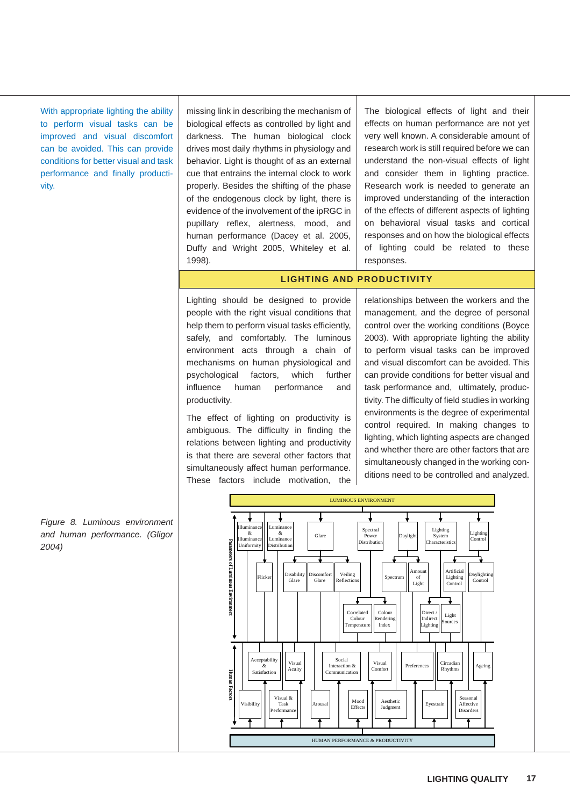With appropriate lighting the ability to perform visual tasks can be improved and visual discomfort can be avoided. This can provide conditions for better visual and task performance and finally productivity.

missing link in describing the mechanism of biological effects as controlled by light and darkness. The human biological clock drives most daily rhythms in physiology and behavior. Light is thought of as an external cue that entrains the internal clock to work properly. Besides the shifting of the phase of the endogenous clock by light, there is evidence of the involvement of the ipRGC in pupillary reflex, alertness, mood, and human performance (Dacey et al. 2005, Duffy and Wright 2005, Whiteley et al. 1998).

The biological effects of light and their effects on human performance are not yet very well known. A considerable amount of research work is still required before we can understand the non-visual effects of light and consider them in lighting practice. Research work is needed to generate an improved understanding of the interaction of the effects of different aspects of lighting on behavioral visual tasks and cortical responses and on how the biological effects of lighting could be related to these responses.

#### **LIGHTING AND PRODUCTIVITY**

Lighting should be designed to provide people with the right visual conditions that help them to perform visual tasks efficiently, safely, and comfortably. The luminous environment acts through a chain of mechanisms on human physiological and psychological factors, which further influence human performance and productivity.

The effect of lighting on productivity is ambiguous. The difficulty in finding the relations between lighting and productivity is that there are several other factors that simultaneously affect human performance. These factors include motivation, the relationships between the workers and the management, and the degree of personal control over the working conditions (Boyce 2003). With appropriate lighting the ability to perform visual tasks can be improved and visual discomfort can be avoided. This can provide conditions for better visual and task performance and, ultimately, productivity. The difficulty of field studies in working environments is the degree of experimental control required. In making changes to lighting, which lighting aspects are changed and whether there are other factors that are simultaneously changed in the working conditions need to be controlled and analyzed.



*Figure 8. Luminous environment and human performance. (Gligor 2004)*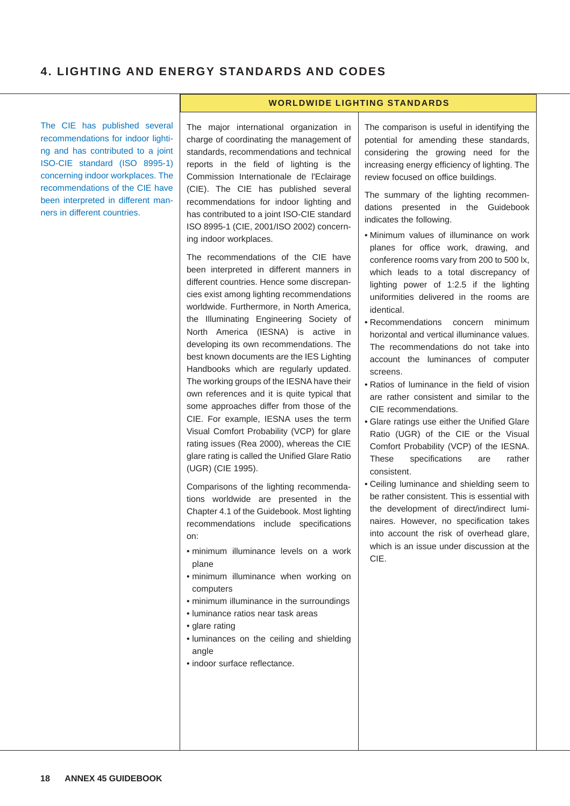The CIE has published several recommendations for indoor lighting and has contributed to a joint ISO-CIE standard (ISO 8995-1) concerning indoor workplaces. The recommendations of the CIE have been interpreted in different manners in different countries.

The major international organization in charge of coordinating the management of standards, recommendations and technical reports in the field of lighting is the Commission Internationale de l'Eclairage (CIE). The CIE has published several recommendations for indoor lighting and has contributed to a joint ISO-CIE standard ISO 8995-1 (CIE, 2001/ISO 2002) concerning indoor workplaces.

The recommendations of the CIE have been interpreted in different manners in different countries. Hence some discrepancies exist among lighting recommendations worldwide. Furthermore, in North America, the Illuminating Engineering Society of North America (IESNA) is active in developing its own recommendations. The best known documents are the IES Lighting Handbooks which are regularly updated. The working groups of the IESNA have their own references and it is quite typical that some approaches differ from those of the CIE. For example, IESNA uses the term Visual Comfort Probability (VCP) for glare rating issues (Rea 2000), whereas the CIE glare rating is called the Unified Glare Ratio (UGR) (CIE 1995).

Comparisons of the lighting recommendations worldwide are presented in the Chapter 4.1 of the Guidebook. Most lighting recommendations include specifications on:

- minimum illuminance levels on a work plane
- minimum illuminance when working on computers
- minimum illuminance in the surroundings
- luminance ratios near task areas
- glare rating
- luminances on the ceiling and shielding angle
- indoor surface reflectance.

#### The comparison is useful in identifying the potential for amending these standards, considering the growing need for the increasing energy efficiency of lighting. The review focused on office buildings.

**WORLDWIDE LIGHTING STANDARDS**

The summary of the lighting recommendations presented in the Guidebook indicates the following.

- Minimum values of illuminance on work planes for office work, drawing, and conference rooms vary from 200 to 500 lx, which leads to a total discrepancy of lighting power of 1:2.5 if the lighting uniformities delivered in the rooms are identical.
- Recommendations concern minimum horizontal and vertical illuminance values. The recommendations do not take into account the luminances of computer screens.
- Ratios of luminance in the field of vision are rather consistent and similar to the CIE recommendations.
- Glare ratings use either the Unified Glare Ratio (UGR) of the CIE or the Visual Comfort Probability (VCP) of the IESNA. These specifications are rather consistent.
- Ceiling luminance and shielding seem to be rather consistent. This is essential with the development of direct/indirect luminaires. However, no specification takes into account the risk of overhead glare, which is an issue under discussion at the CIE.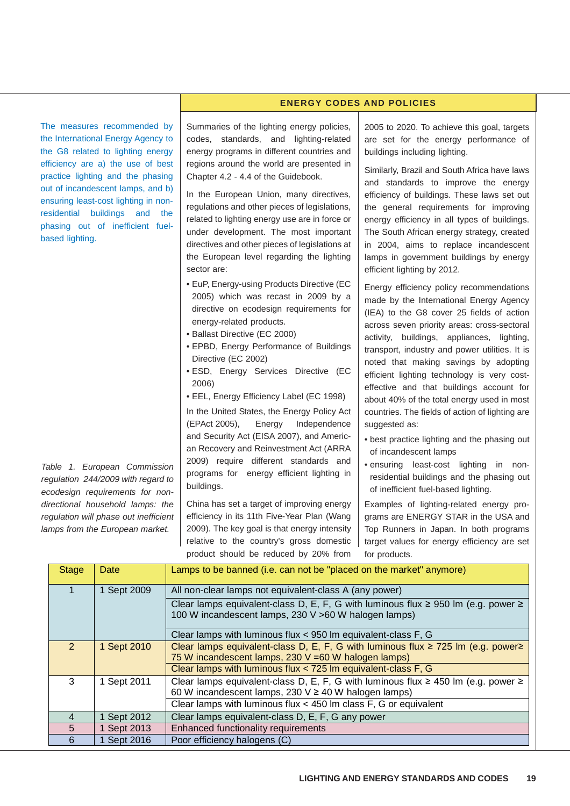#### **ENERGY CODES AND POLICIES**

The measures recommended by the International Energy Agency to the G8 related to lighting energy efficiency are a) the use of best practice lighting and the phasing out of incandescent lamps, and b) ensuring least-cost lighting in nonresidential buildings and the phasing out of inefficient fuelbased lighting.

*Table 1. European Commission regulation 244/2009 with regard to ecodesign requirements for nondirectional household lamps: the regulation will phase out inefficient lamps from the European market.*

Summaries of the lighting energy policies, codes, standards, and lighting-related energy programs in different countries and regions around the world are presented in Chapter 4.2 - 4.4 of the Guidebook.

In the European Union, many directives, regulations and other pieces of legislations, related to lighting energy use are in force or under development. The most important directives and other pieces of legislations at the European level regarding the lighting sector are:

- EuP, Energy-using Products Directive (EC 2005) which was recast in 2009 by a directive on ecodesign requirements for energy-related products.
- Ballast Directive (EC 2000)
- EPBD, Energy Performance of Buildings Directive (EC 2002)
- ESD, Energy Services Directive (EC 2006)
- EEL, Energy Efficiency Label (EC 1998)

In the United States, the Energy Policy Act (EPAct 2005), Energy Independence and Security Act (EISA 2007), and American Recovery and Reinvestment Act (ARRA 2009) require different standards and programs for energy efficient lighting in buildings.

China has set a target of improving energy efficiency in its 11th Five-Year Plan (Wang 2009). The key goal is that energy intensity relative to the country's gross domestic product should be reduced by 20% from

2005 to 2020. To achieve this goal, targets are set for the energy performance of buildings including lighting.

Similarly, Brazil and South Africa have laws and standards to improve the energy efficiency of buildings. These laws set out the general requirements for improving energy efficiency in all types of buildings. The South African energy strategy, created in 2004, aims to replace incandescent lamps in government buildings by energy efficient lighting by 2012.

Energy efficiency policy recommendations made by the International Energy Agency (IEA) to the G8 cover 25 fields of action across seven priority areas: cross-sectoral activity, buildings, appliances, lighting, transport, industry and power utilities. It is noted that making savings by adopting efficient lighting technology is very costeffective and that buildings account for about 40% of the total energy used in most countries. The fields of action of lighting are suggested as:

- best practice lighting and the phasing out of incandescent lamps
- ensuring least-cost lighting in nonresidential buildings and the phasing out of inefficient fuel-based lighting.

Examples of lighting-related energy programs are ENERGY STAR in the USA and Top Runners in Japan. In both programs target values for energy efficiency are set for products.

| <b>Stage</b> | Date        | Lamps to be banned (i.e. can not be "placed on the market" anymore)                                                                                   |
|--------------|-------------|-------------------------------------------------------------------------------------------------------------------------------------------------------|
| Sept 2009    |             | All non-clear lamps not equivalent-class A (any power)                                                                                                |
|              |             | Clear lamps equivalent-class D, E, F, G with luminous flux $\geq$ 950 lm (e.g. power $\geq$<br>100 W incandescent lamps, 230 V > 60 W halogen lamps)  |
|              |             | Clear lamps with luminous flux < 950 lm equivalent-class F, G                                                                                         |
| 2            | 1 Sept 2010 | Clear lamps equivalent-class D, E, F, G with luminous flux $\ge$ 725 lm (e.g. power $\ge$<br>75 W incandescent lamps, 230 V = 60 W halogen lamps)     |
|              |             | Clear lamps with luminous flux $<$ 725 lm equivalent-class F, G                                                                                       |
| 3            | 1 Sept 2011 | Clear lamps equivalent-class D, E, F, G with luminous flux $\ge$ 450 lm (e.g. power $\ge$<br>60 W incandescent lamps, 230 $V \ge 40$ W halogen lamps) |
|              |             | Clear lamps with luminous flux $<$ 450 lm class F, G or equivalent                                                                                    |
| 4            | Sept 2012   | Clear lamps equivalent-class D, E, F, G any power                                                                                                     |
| 5            | 1 Sept 2013 | Enhanced functionality requirements                                                                                                                   |
| 6            | Sept 2016   | Poor efficiency halogens (C)                                                                                                                          |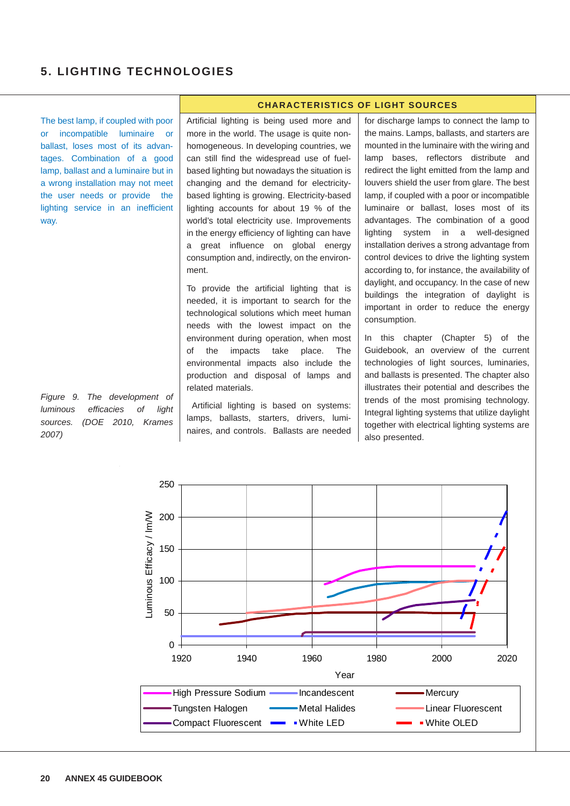## **5. LIGHTING TECHNOLOGIES**

The best lamp, if coupled with poor or incompatible luminaire or ballast, loses most of its advantages. Combination of a good lamp, ballast and a luminaire but in a wrong installation may not meet the user needs or provide the lighting service in an inefficient way.

Artificial lighting is being used more and more in the world. The usage is quite nonhomogeneous. In developing countries, we can still find the widespread use of fuelbased lighting but nowadays the situation is changing and the demand for electricitybased lighting is growing. Electricity-based lighting accounts for about 19 % of the world's total electricity use. Improvements in the energy efficiency of lighting can have a great influence on global energy consumption and, indirectly, on the environment.

**CHARACTERISTICS OF LIGHT SOURCES**

To provide the artificial lighting that is needed, it is important to search for the technological solutions which meet human needs with the lowest impact on the environment during operation, when most of the impacts take place. The environmental impacts also include the production and disposal of lamps and related materials.

 Artificial lighting is based on systems: lamps, ballasts, starters, drivers, luminaires, and controls. Ballasts are needed for discharge lamps to connect the lamp to the mains. Lamps, ballasts, and starters are mounted in the luminaire with the wiring and lamp bases, reflectors distribute and redirect the light emitted from the lamp and louvers shield the user from glare. The best lamp, if coupled with a poor or incompatible luminaire or ballast, loses most of its advantages. The combination of a good lighting system in a well-designed installation derives a strong advantage from control devices to drive the lighting system according to, for instance, the availability of daylight, and occupancy. In the case of new buildings the integration of daylight is important in order to reduce the energy consumption.

In this chapter (Chapter 5) of the Guidebook, an overview of the current technologies of light sources, luminaries, and ballasts is presented. The chapter also illustrates their potential and describes the trends of the most promising technology. Integral lighting systems that utilize daylight together with electrical lighting systems are also presented.



*Figure 9. The development of luminous efficacies of light sources. (DOE 2010, Krames 2007)*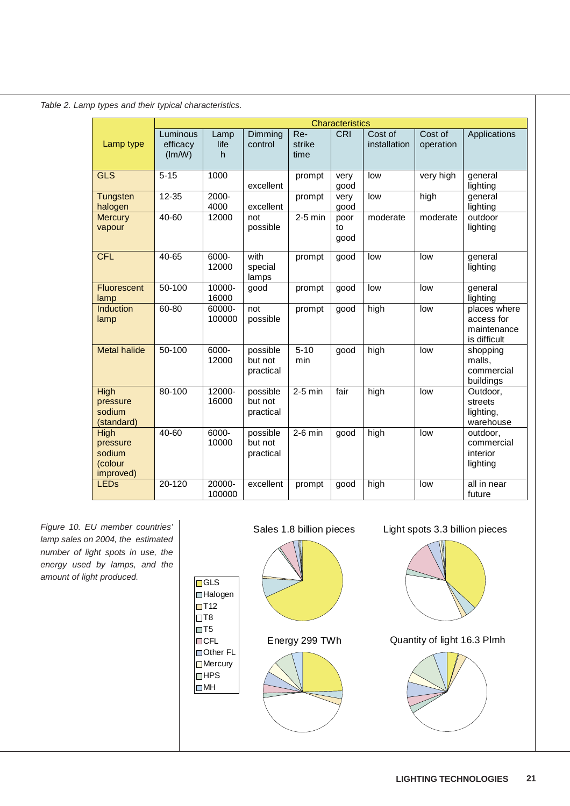*Table 2. Lamp types and their typical characteristics.*

|                                                            |                                |                   |                                  |                       | <b>Characteristics</b> |                         |                      |                                                           |
|------------------------------------------------------------|--------------------------------|-------------------|----------------------------------|-----------------------|------------------------|-------------------------|----------------------|-----------------------------------------------------------|
| Lamp type                                                  | Luminous<br>efficacy<br>(lm/W) | Lamp<br>life<br>h | Dimming<br>control               | Re-<br>strike<br>time | <b>CRI</b>             | Cost of<br>installation | Cost of<br>operation | Applications                                              |
| <b>GLS</b>                                                 | $5 - 15$                       | 1000              | excellent                        | prompt                | very<br>good           | low                     | very high            | general<br>lighting                                       |
| Tungsten<br>halogen                                        | $12 - 35$                      | 2000-<br>4000     | excellent                        | prompt                | very<br>good           | low                     | high                 | general<br>lighting                                       |
| <b>Mercury</b><br>vapour                                   | 40-60                          | 12000             | not<br>possible                  | $2-5$ min             | poor<br>to<br>good     | moderate                | moderate             | outdoor<br>lighting                                       |
| <b>CFL</b>                                                 | 40-65                          | 6000-<br>12000    | with<br>special<br>lamps         | prompt                | good                   | low                     | low                  | general<br>lighting                                       |
| <b>Fluorescent</b><br>lamp                                 | 50-100                         | 10000-<br>16000   | good                             | prompt                | good                   | low                     | low                  | general<br>lighting                                       |
| Induction<br>lamp                                          | 60-80                          | 60000-<br>100000  | not<br>possible                  | prompt                | good                   | high                    | low                  | places where<br>access for<br>maintenance<br>is difficult |
| <b>Metal halide</b>                                        | 50-100                         | 6000-<br>12000    | possible<br>but not<br>practical | $5 - 10$<br>min       | good                   | high                    | low                  | shopping<br>malls,<br>commercial<br>buildings             |
| High<br>pressure<br>sodium<br>(standard)                   | 80-100                         | 12000-<br>16000   | possible<br>but not<br>practical | $2-5$ min             | fair                   | high                    | low                  | Outdoor,<br>streets<br>lighting,<br>warehouse             |
| High<br>pressure<br>sodium<br>(colour<br><i>improved</i> ) | 40-60                          | 6000-<br>10000    | possible<br>but not<br>practical | $2-6$ min             | good                   | high                    | low                  | outdoor,<br>commercial<br>interior<br>lighting            |
| <b>LEDs</b>                                                | 20-120                         | 20000-<br>100000  | excellent                        | prompt                | good                   | high                    | low                  | all in near<br>future                                     |

*Figure 10. EU member countries' lamp sales on 2004, the estimated number of light spots in use, the energy used by lamps, and the* amount of light produced.

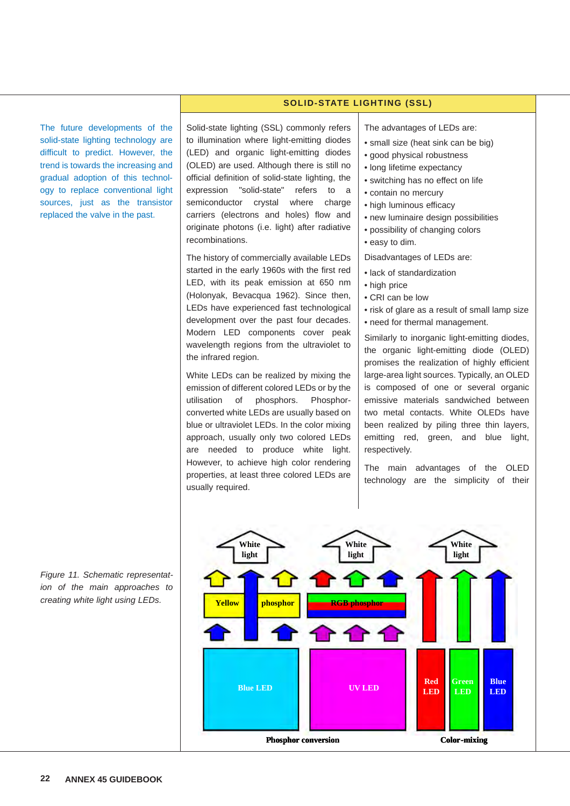#### **SOLID-STATE LIGHTING (SSL)**

The future developments of the solid-state lighting technology are difficult to predict. However, the trend is towards the increasing and gradual adoption of this technology to replace conventional light sources, just as the transistor replaced the valve in the past.

Solid-state lighting (SSL) commonly refers to illumination where light-emitting diodes (LED) and organic light-emitting diodes (OLED) are used. Although there is still no official definition of solid-state lighting, the expression "solid-state" refers to a semiconductor crystal where charge carriers (electrons and holes) flow and originate photons (i.e. light) after radiative recombinations.

The history of commercially available LEDs started in the early 1960s with the first red LED, with its peak emission at 650 nm (Holonyak, Bevacqua 1962). Since then, LEDs have experienced fast technological development over the past four decades. Modern LED components cover peak wavelength regions from the ultraviolet to the infrared region.

White LEDs can be realized by mixing the emission of different colored LEDs or by the utilisation of phosphors. Phosphorconverted white LEDs are usually based on blue or ultraviolet LEDs. In the color mixing approach, usually only two colored LEDs are needed to produce white light. However, to achieve high color rendering properties, at least three colored LEDs are usually required.

The advantages of LEDs are:

- small size (heat sink can be big)
- good physical robustness
- long lifetime expectancy
- switching has no effect on life
- contain no mercury
- high luminous efficacy
- new luminaire design possibilities
- possibility of changing colors
- easy to dim.

Disadvantages of LEDs are:

- lack of standardization
- high price
- CRI can be low
- risk of glare as a result of small lamp size
- need for thermal management.

Similarly to inorganic light-emitting diodes, the organic light-emitting diode (OLED) promises the realization of highly efficient large-area light sources. Typically, an OLED is composed of one or several organic emissive materials sandwiched between two metal contacts. White OLEDs have been realized by piling three thin layers, emitting red, green, and blue light, respectively.

The main advantages of the OLED technology are the simplicity of their



*Figure 11. Schematic representation of the main approaches to creating white light using LEDs.*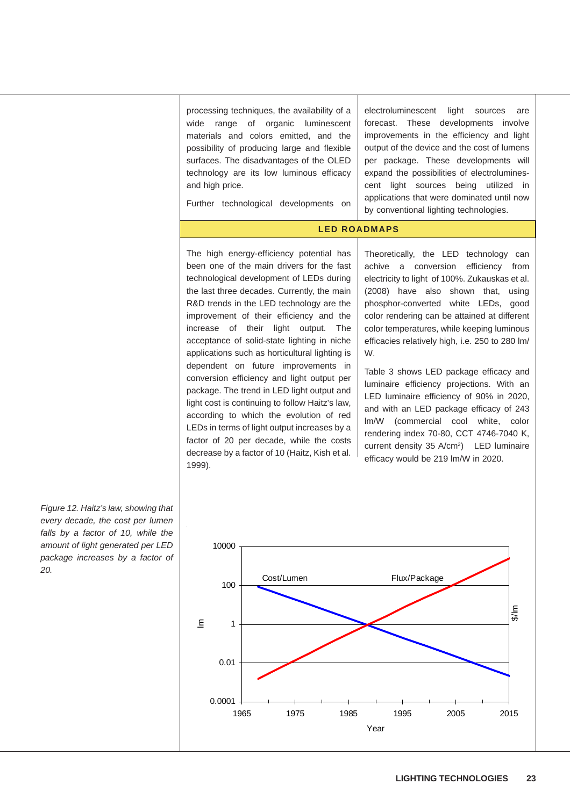processing techniques, the availability of a wide range of organic luminescent materials and colors emitted, and the possibility of producing large and flexible surfaces. The disadvantages of the OLED technology are its low luminous efficacy and high price.

Further technological developments on

electroluminescent light sources are forecast. These developments involve improvements in the efficiency and light output of the device and the cost of lumens per package. These developments will expand the possibilities of electroluminescent light sources being utilized in applications that were dominated until now by conventional lighting technologies.

#### **LED ROADMAPS**

The high energy-efficiency potential has been one of the main drivers for the fast technological development of LEDs during the last three decades. Currently, the main R&D trends in the LED technology are the improvement of their efficiency and the increase of their light output. The acceptance of solid-state lighting in niche applications such as horticultural lighting is dependent on future improvements in conversion efficiency and light output per package. The trend in LED light output and light cost is continuing to follow Haitz's law, according to which the evolution of red LEDs in terms of light output increases by a factor of 20 per decade, while the costs decrease by a factor of 10 (Haitz, Kish et al. 1999).

Theoretically, the LED technology can achive a conversion efficiency from electricity to light of 100%. Zukauskas et al. (2008) have also shown that, using phosphor-converted white LEDs, good color rendering can be attained at different color temperatures, while keeping luminous efficacies relatively high, i.e. 250 to 280 lm/ W.

Table 3 shows LED package efficacy and luminaire efficiency projections. With an LED luminaire efficiency of 90% in 2020, and with an LED package efficacy of 243 lm/W (commercial cool white, color rendering index 70-80, CCT 4746-7040 K, current density 35 A/cm<sup>2</sup>) LED luminaire efficacy would be 219 lm/W in 2020.



*Figure 12. Haitz's law, showing that every decade, the cost per lumen falls by a factor of 10, while the amount of light generated per LED package increases by a factor of 20.*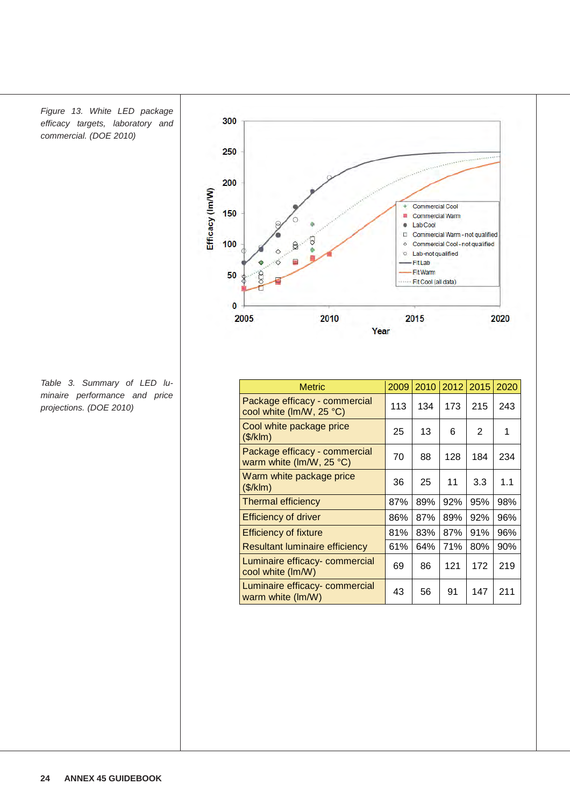



|  | Table 3. Summary of LED lu-   |  |  |
|--|-------------------------------|--|--|
|  | minaire performance and price |  |  |
|  | projections. (DOE 2010)       |  |  |

| <b>Metric</b>                                             | 2009 | 2010 | 2012 2015 |     | 2020 |
|-----------------------------------------------------------|------|------|-----------|-----|------|
| Package efficacy - commercial<br>cool white (Im/W, 25 °C) | 113  | 134  | 173       | 215 | 243  |
| Cool white package price<br>(\$/klm)                      | 25   | 13   | 6         | 2   | 1    |
| Package efficacy - commercial<br>warm white (Im/W, 25 °C) | 70   | 88   | 128       | 184 | 234  |
| Warm white package price<br>(\$/klm)                      | 36   | 25   | 11        | 3.3 | 1.1  |
| <b>Thermal efficiency</b>                                 | 87%  | 89%  | 92%       | 95% | 98%  |
| <b>Efficiency of driver</b>                               | 86%  | 87%  | 89%       | 92% | 96%  |
| <b>Efficiency of fixture</b>                              | 81%  | 83%  | 87%       | 91% | 96%  |
| <b>Resultant luminaire efficiency</b>                     | 61%  | 64%  | 71%       | 80% | 90%  |
| Luminaire efficacy- commercial<br>cool white (Im/W)       | 69   | 86   | 121       | 172 | 219  |
| Luminaire efficacy- commercial<br>warm white (Im/W)       | 43   | 56   | 91        | 147 | 211  |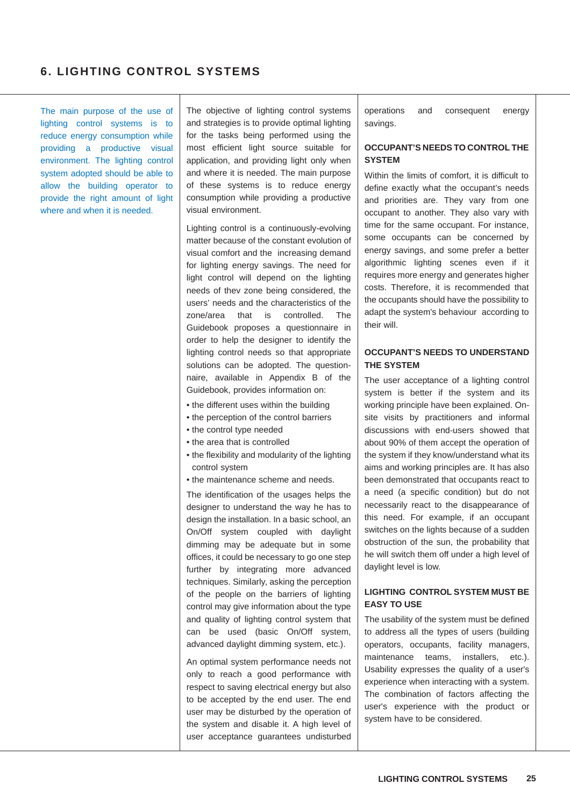The main purpose of the use of lighting control systems is to reduce energy consumption while providing a productive visual environment. The lighting control system adopted should be able to allow the building operator to provide the right amount of light where and when it is needed.

The objective of lighting control systems and strategies is to provide optimal lighting for the tasks being performed using the most efficient light source suitable for application, and providing light only when and where it is needed. The main purpose of these systems is to reduce energy consumption while providing a productive visual environment.

Lighting control is a continuously-evolving matter because of the constant evolution of visual comfort and the increasing demand for lighting energy savings. The need for light control will depend on the lighting needs of thev zone being considered, the users' needs and the characteristics of the zone/area that is controlled. The Guidebook proposes a questionnaire in order to help the designer to identify the lighting control needs so that appropriate solutions can be adopted. The questionnaire, available in Appendix B of the Guidebook, provides information on:

- the different uses within the building
- the perception of the control barriers
- the control type needed
- 
- the area that is controlled
- the flexibility and modularity of the lighting control system
- the maintenance scheme and needs.

The identification of the usages helps the designer to understand the way he has to design the installation. In a basic school, an On/Off system coupled with daylight dimming may be adequate but in some offices, it could be necessary to go one step further by integrating more advanced techniques. Similarly, asking the perception of the people on the barriers of lighting control may give information about the type and quality of lighting control system that can be used (basic On/Off system, advanced daylight dimming system, etc.).

An optimal system performance needs not only to reach a good performance with respect to saving electrical energy but also to be accepted by the end user. The end user may be disturbed by the operation of the system and disable it. A high level of user acceptance guarantees undisturbed operations and consequent energy savings.

#### **OCCUPANT'S NEEDS TO CONTROL THE SYSTEM**

Within the limits of comfort, it is difficult to define exactly what the occupant's needs and priorities are. They vary from one occupant to another. They also vary with time for the same occupant. For instance, some occupants can be concerned by energy savings, and some prefer a better algorithmic lighting scenes even if it requires more energy and generates higher costs. Therefore, it is recommended that the occupants should have the possibility to adapt the system's behaviour according to their will.

#### **OCCUPANT'S NEEDS TO UNDERSTAND THE SYSTEM**

The user acceptance of a lighting control system is better if the system and its working principle have been explained. Onsite visits by practitioners and informal discussions with end-users showed that about 90% of them accept the operation of the system if they know/understand what its aims and working principles are. It has also been demonstrated that occupants react to a need (a specific condition) but do not necessarily react to the disappearance of this need. For example, if an occupant switches on the lights because of a sudden obstruction of the sun, the probability that he will switch them off under a high level of daylight level is low.

#### **LIGHTING CONTROL SYSTEM MUST BE EASY TO USE**

The usability of the system must be defined to address all the types of users (building operators, occupants, facility managers, maintenance teams, installers, etc.). Usability expresses the quality of a user's experience when interacting with a system. The combination of factors affecting the user's experience with the product or system have to be considered.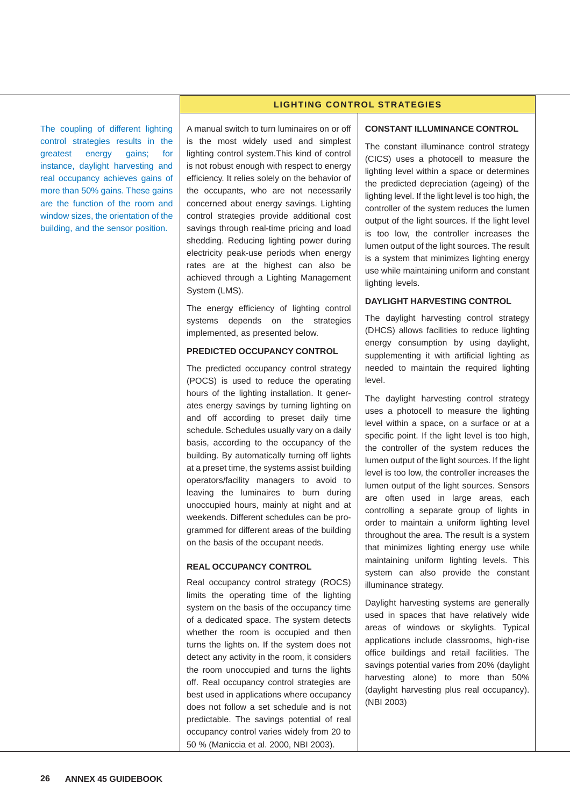#### **LIGHTING CONTROL STRATEGIES**

The coupling of different lighting control strategies results in the greatest energy gains; for instance, daylight harvesting and real occupancy achieves gains of more than 50% gains. These gains are the function of the room and window sizes, the orientation of the building, and the sensor position.

A manual switch to turn luminaires on or off is the most widely used and simplest lighting control system.This kind of control is not robust enough with respect to energy efficiency. It relies solely on the behavior of the occupants, who are not necessarily concerned about energy savings. Lighting control strategies provide additional cost savings through real-time pricing and load shedding. Reducing lighting power during electricity peak-use periods when energy rates are at the highest can also be achieved through a Lighting Management System (LMS).

The energy efficiency of lighting control systems depends on the strategies implemented, as presented below.

#### **PREDICTED OCCUPANCY CONTROL**

The predicted occupancy control strategy (POCS) is used to reduce the operating hours of the lighting installation. It generates energy savings by turning lighting on and off according to preset daily time schedule. Schedules usually vary on a daily basis, according to the occupancy of the building. By automatically turning off lights at a preset time, the systems assist building operators/facility managers to avoid to leaving the luminaires to burn during unoccupied hours, mainly at night and at weekends. Different schedules can be programmed for different areas of the building on the basis of the occupant needs.

#### **REAL OCCUPANCY CONTROL**

Real occupancy control strategy (ROCS) limits the operating time of the lighting system on the basis of the occupancy time of a dedicated space. The system detects whether the room is occupied and then turns the lights on. If the system does not detect any activity in the room, it considers the room unoccupied and turns the lights off. Real occupancy control strategies are best used in applications where occupancy does not follow a set schedule and is not predictable. The savings potential of real occupancy control varies widely from 20 to 50 % (Maniccia et al. 2000, NBI 2003).

#### **CONSTANT ILLUMINANCE CONTROL**

The constant illuminance control strategy (CICS) uses a photocell to measure the lighting level within a space or determines the predicted depreciation (ageing) of the lighting level. If the light level is too high, the controller of the system reduces the lumen output of the light sources. If the light level is too low, the controller increases the lumen output of the light sources. The result is a system that minimizes lighting energy use while maintaining uniform and constant lighting levels.

#### **DAYLIGHT HARVESTING CONTROL**

The daylight harvesting control strategy (DHCS) allows facilities to reduce lighting energy consumption by using daylight, supplementing it with artificial lighting as needed to maintain the required lighting level.

The daylight harvesting control strategy uses a photocell to measure the lighting level within a space, on a surface or at a specific point. If the light level is too high, the controller of the system reduces the lumen output of the light sources. If the light level is too low, the controller increases the lumen output of the light sources. Sensors are often used in large areas, each controlling a separate group of lights in order to maintain a uniform lighting level throughout the area. The result is a system that minimizes lighting energy use while maintaining uniform lighting levels. This system can also provide the constant illuminance strategy.

Daylight harvesting systems are generally used in spaces that have relatively wide areas of windows or skylights. Typical applications include classrooms, high-rise office buildings and retail facilities. The savings potential varies from 20% (daylight harvesting alone) to more than 50% (daylight harvesting plus real occupancy). (NBI 2003)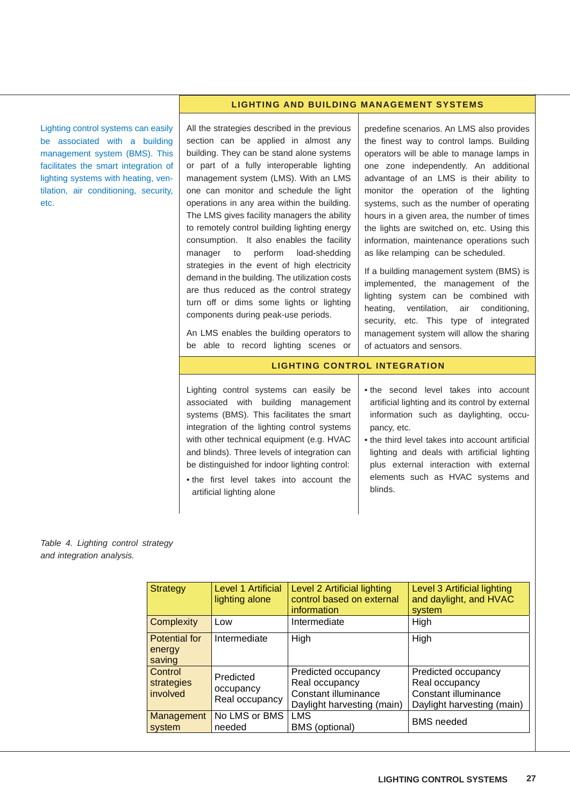#### **LIGHTING AND BUILDING MANAGEMENT SYSTEMS**

Lighting control systems can easily be associated with a building management system (BMS). This facilitates the smart integration of lighting systems with heating, ventilation, air conditioning, security, etc.

All the strategies described in the previous section can be applied in almost any building. They can be stand alone systems or part of a fully interoperable lighting management system (LMS). With an LMS one can monitor and schedule the light operations in any area within the building. The LMS gives facility managers the ability to remotely control building lighting energy consumption. It also enables the facility manager to perform load-shedding strategies in the event of high electricity demand in the building. The utilization costs are thus reduced as the control strategy turn off or dims some lights or lighting components during peak-use periods.

An LMS enables the building operators to be able to record lighting scenes or predefine scenarios. An LMS also provides the finest way to control lamps. Building operators will be able to manage lamps in one zone independently. An additional advantage of an LMS is their ability to monitor the operation of the lighting systems, such as the number of operating hours in a given area, the number of times the lights are switched on, etc. Using this information, maintenance operations such as like relamping can be scheduled.

If a building management system (BMS) is implemented, the management of the lighting system can be combined with heating, ventilation, air conditioning, security, etc. This type of integrated management system will allow the sharing of actuators and sensors.

#### **LIGHTING CONTROL INTEGRATION**

Lighting control systems can easily be associated with building management systems (BMS). This facilitates the smart integration of the lighting control systems with other technical equipment (e.g. HVAC and blinds). Three levels of integration can be distinguished for indoor lighting control:

- the first level takes into account the artificial lighting alone
- the second level takes into account artificial lighting and its control by external information such as daylighting, occupancy, etc.
- the third level takes into account artificial lighting and deals with artificial lighting plus external interaction with external elements such as HVAC systems and blinds.

*Table 4. Lighting control strategy and integration analysis.*

| <b>Strategy</b>                          | Level 1 Artificial<br>lighting alone     | Level 2 Artificial lighting<br>control based on external<br>information                     | Level 3 Artificial lighting<br>and daylight, and HVAC<br>system                             |
|------------------------------------------|------------------------------------------|---------------------------------------------------------------------------------------------|---------------------------------------------------------------------------------------------|
| <b>Complexity</b>                        | Low                                      | Intermediate                                                                                | High                                                                                        |
| <b>Potential for</b><br>energy<br>saving | Intermediate                             | High                                                                                        | High                                                                                        |
| Control<br>strategies<br>involved        | Predicted<br>occupancy<br>Real occupancy | Predicted occupancy<br>Real occupancy<br>Constant illuminance<br>Daylight harvesting (main) | Predicted occupancy<br>Real occupancy<br>Constant illuminance<br>Daylight harvesting (main) |
| Management<br>system                     | No LMS or BMS<br>needed                  | <b>LMS</b><br>BMS (optional)                                                                | <b>BMS</b> needed                                                                           |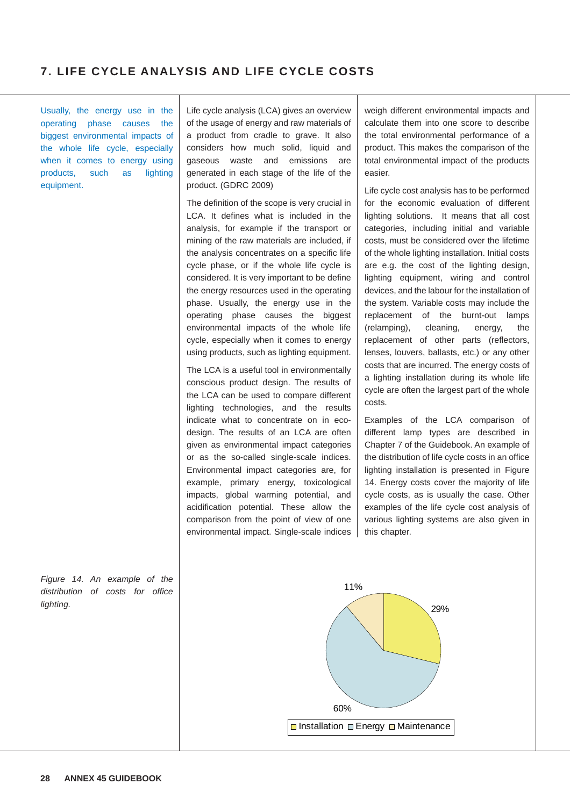## **7. LIFE CYCLE ANALYSIS AND LIFE CYCLE COSTS**

Usually, the energy use in the operating phase causes the biggest environmental impacts of the whole life cycle, especially when it comes to energy using products, such as lighting equipment.

Life cycle analysis (LCA) gives an overview of the usage of energy and raw materials of a product from cradle to grave. It also considers how much solid, liquid and gaseous waste and emissions are generated in each stage of the life of the product. (GDRC 2009)

The definition of the scope is very crucial in LCA. It defines what is included in the analysis, for example if the transport or mining of the raw materials are included, if the analysis concentrates on a specific life cycle phase, or if the whole life cycle is considered. It is very important to be define the energy resources used in the operating phase. Usually, the energy use in the operating phase causes the biggest environmental impacts of the whole life cycle, especially when it comes to energy using products, such as lighting equipment.

The LCA is a useful tool in environmentally conscious product design. The results of the LCA can be used to compare different lighting technologies, and the results indicate what to concentrate on in ecodesign. The results of an LCA are often given as environmental impact categories or as the so-called single-scale indices. Environmental impact categories are, for example, primary energy, toxicological impacts, global warming potential, and acidification potential. These allow the comparison from the point of view of one environmental impact. Single-scale indices weigh different environmental impacts and calculate them into one score to describe the total environmental performance of a product. This makes the comparison of the total environmental impact of the products easier.

Life cycle cost analysis has to be performed for the economic evaluation of different lighting solutions. It means that all cost categories, including initial and variable costs, must be considered over the lifetime of the whole lighting installation. Initial costs are e.g. the cost of the lighting design, lighting equipment, wiring and control devices, and the labour for the installation of the system. Variable costs may include the replacement of the burnt-out lamps (relamping), cleaning, energy, the replacement of other parts (reflectors, lenses, louvers, ballasts, etc.) or any other costs that are incurred. The energy costs of a lighting installation during its whole life cycle are often the largest part of the whole costs.

Examples of the LCA comparison of different lamp types are described in Chapter 7 of the Guidebook. An example of the distribution of life cycle costs in an office lighting installation is presented in Figure 14. Energy costs cover the majority of life cycle costs, as is usually the case. Other examples of the life cycle cost analysis of various lighting systems are also given in this chapter.



*Figure 14. An example of the distribution of costs for office lighting.*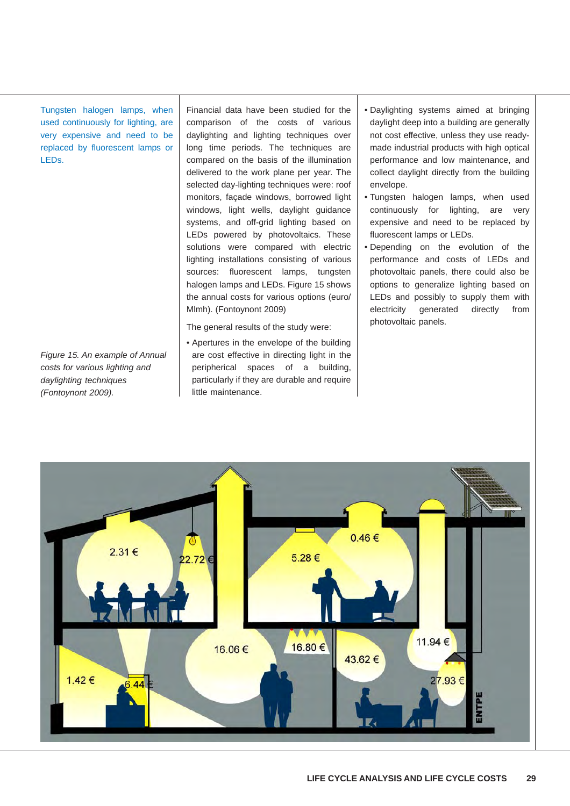Tungsten halogen lamps, when used continuously for lighting, are very expensive and need to be replaced by fluorescent lamps or LEDs.

*Figure 15. An example of Annual costs for various lighting and daylighting techniques (Fontoynont 2009).*

Financial data have been studied for the comparison of the costs of various daylighting and lighting techniques over long time periods. The techniques are compared on the basis of the illumination delivered to the work plane per year. The selected day-lighting techniques were: roof monitors, façade windows, borrowed light windows, light wells, daylight guidance systems, and off-grid lighting based on LEDs powered by photovoltaics. These solutions were compared with electric lighting installations consisting of various sources: fluorescent lamps, tungsten halogen lamps and LEDs. Figure 15 shows the annual costs for various options (euro/ Mlmh). (Fontoynont 2009)

The general results of the study were:

• Apertures in the envelope of the building are cost effective in directing light in the peripherical spaces of a building, particularly if they are durable and require little maintenance.

- Daylighting systems aimed at bringing daylight deep into a building are generally not cost effective, unless they use readymade industrial products with high optical performance and low maintenance, and collect daylight directly from the building envelope.
- Tungsten halogen lamps, when used continuously for lighting, are very expensive and need to be replaced by fluorescent lamps or LEDs.
- Depending on the evolution of the performance and costs of LEDs and photovoltaic panels, there could also be options to generalize lighting based on LEDs and possibly to supply them with electricity generated directly from photovoltaic panels.

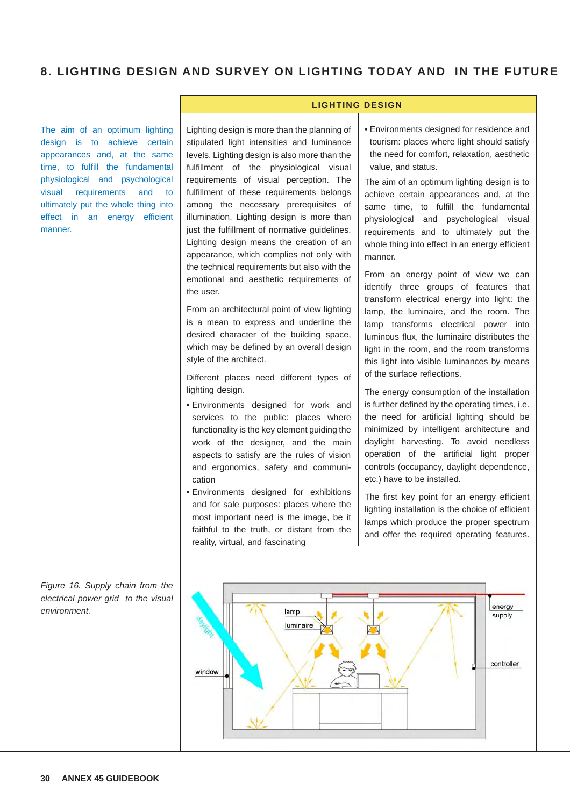**LIGHTING DESIGN**

The aim of an optimum lighting design is to achieve certain appearances and, at the same time, to fulfill the fundamental physiological and psychological visual requirements and to ultimately put the whole thing into effect in an energy efficient manner.

Lighting design is more than the planning of stipulated light intensities and luminance levels. Lighting design is also more than the fulfillment of the physiological visual requirements of visual perception. The fulfillment of these requirements belongs among the necessary prerequisites of illumination. Lighting design is more than just the fulfillment of normative guidelines. Lighting design means the creation of an appearance, which complies not only with the technical requirements but also with the emotional and aesthetic requirements of the user.

From an architectural point of view lighting is a mean to express and underline the desired character of the building space, which may be defined by an overall design style of the architect.

Different places need different types of lighting design.

- Environments designed for work and services to the public: places where functionality is the key element guiding the work of the designer, and the main aspects to satisfy are the rules of vision and ergonomics, safety and communication
- Environments designed for exhibitions and for sale purposes: places where the most important need is the image, be it faithful to the truth, or distant from the reality, virtual, and fascinating

#### • Environments designed for residence and tourism: places where light should satisfy the need for comfort, relaxation, aesthetic value, and status.

The aim of an optimum lighting design is to achieve certain appearances and, at the same time, to fulfill the fundamental physiological and psychological visual requirements and to ultimately put the whole thing into effect in an energy efficient manner.

From an energy point of view we can identify three groups of features that transform electrical energy into light: the lamp, the luminaire, and the room. The lamp transforms electrical power into luminous flux, the luminaire distributes the light in the room, and the room transforms this light into visible luminances by means of the surface reflections.

The energy consumption of the installation is further defined by the operating times, i.e. the need for artificial lighting should be minimized by intelligent architecture and daylight harvesting. To avoid needless operation of the artificial light proper controls (occupancy, daylight dependence, etc.) have to be installed.

The first key point for an energy efficient lighting installation is the choice of efficient lamps which produce the proper spectrum and offer the required operating features.



*Figure 16. Supply chain from the electrical power grid to the visual environment.*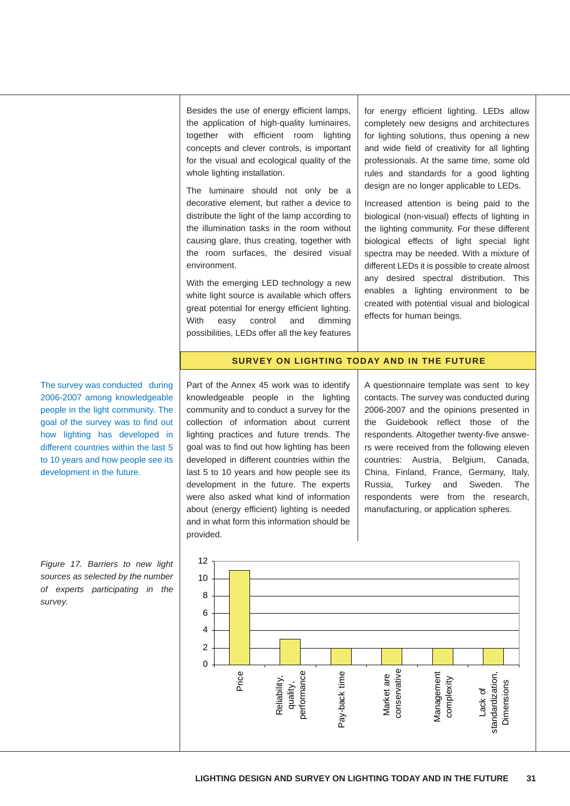Besides the use of energy efficient lamps, the application of high-quality luminaires, together with efficient room lighting concepts and clever controls, is important for the visual and ecological quality of the whole lighting installation.

The luminaire should not only be a decorative element, but rather a device to distribute the light of the lamp according to the illumination tasks in the room without causing glare, thus creating, together with the room surfaces, the desired visual environment.

With the emerging LED technology a new white light source is available which offers great potential for energy efficient lighting. With easy control and dimming possibilities, LEDs offer all the key features for energy efficient lighting. LEDs allow completely new designs and architectures for lighting solutions, thus opening a new and wide field of creativity for all lighting professionals. At the same time, some old rules and standards for a good lighting design are no longer applicable to LEDs.

Increased attention is being paid to the biological (non-visual) effects of lighting in the lighting community. For these different biological effects of light special light spectra may be needed. With a mixture of different LEDs it is possible to create almost any desired spectral distribution. This enables a lighting environment to be created with potential visual and biological effects for human beings.

#### The survey was conducted during 2006-2007 among knowledgeable people in the light community. The goal of the survey was to find out how lighting has developed in different countries within the last 5 to 10 years and how people see its development in the future.

#### **SURVEY ON LIGHTING TODAY AND IN THE FUTURE**

Part of the Annex 45 work was to identify knowledgeable people in the lighting community and to conduct a survey for the collection of information about current lighting practices and future trends. The goal was to find out how lighting has been developed in different countries within the last 5 to 10 years and how people see its development in the future. The experts were also asked what kind of information about (energy efficient) lighting is needed and in what form this information should be provided.

A questionnaire template was sent to key contacts. The survey was conducted during 2006-2007 and the opinions presented in the Guidebook reflect those of the respondents. Altogether twenty-five answers were received from the following eleven countries: Austria, Belgium, Canada, China, Finland, France, Germany, Italy, Russia, Turkey and Sweden. The respondents were from the research, manufacturing, or application spheres.



*Figure 17. Barriers to new light sources as selected by the number of experts participating in the survey.*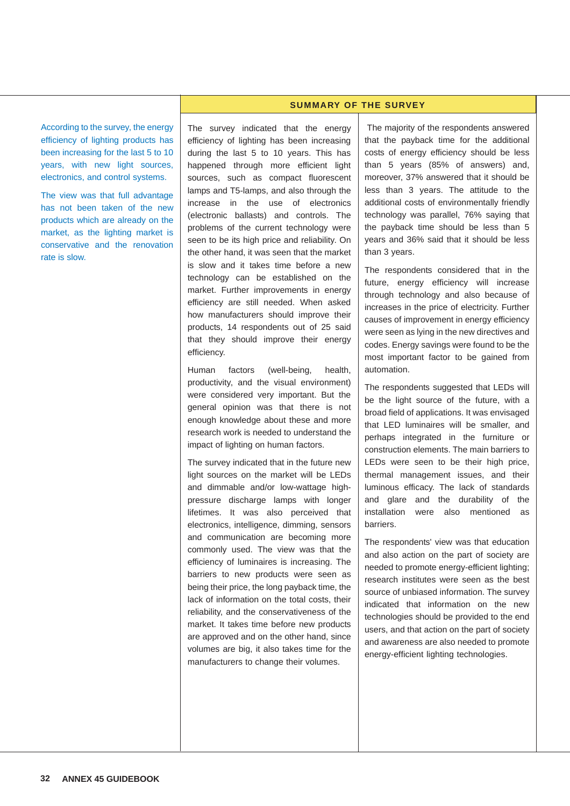#### **SUMMARY OF THE SURVEY**

According to the survey, the energy efficiency of lighting products has been increasing for the last 5 to 10 years, with new light sources, electronics, and control systems.

The view was that full advantage has not been taken of the new products which are already on the market, as the lighting market is conservative and the renovation rate is slow.

The survey indicated that the energy efficiency of lighting has been increasing during the last 5 to 10 years. This has happened through more efficient light sources, such as compact fluorescent lamps and T5-lamps, and also through the increase in the use of electronics (electronic ballasts) and controls. The problems of the current technology were seen to be its high price and reliability. On the other hand, it was seen that the market is slow and it takes time before a new technology can be established on the market. Further improvements in energy efficiency are still needed. When asked how manufacturers should improve their products, 14 respondents out of 25 said that they should improve their energy efficiency.

Human factors (well-being, health, productivity, and the visual environment) were considered very important. But the general opinion was that there is not enough knowledge about these and more research work is needed to understand the impact of lighting on human factors.

The survey indicated that in the future new light sources on the market will be LEDs and dimmable and/or low-wattage highpressure discharge lamps with longer lifetimes. It was also perceived that electronics, intelligence, dimming, sensors and communication are becoming more commonly used. The view was that the efficiency of luminaires is increasing. The barriers to new products were seen as being their price, the long payback time, the lack of information on the total costs, their reliability, and the conservativeness of the market. It takes time before new products are approved and on the other hand, since volumes are big, it also takes time for the manufacturers to change their volumes.

 The majority of the respondents answered that the payback time for the additional costs of energy efficiency should be less than 5 years (85% of answers) and, moreover, 37% answered that it should be less than 3 years. The attitude to the additional costs of environmentally friendly technology was parallel, 76% saying that the payback time should be less than 5 years and 36% said that it should be less than 3 years.

The respondents considered that in the future, energy efficiency will increase through technology and also because of increases in the price of electricity. Further causes of improvement in energy efficiency were seen as lying in the new directives and codes. Energy savings were found to be the most important factor to be gained from automation.

The respondents suggested that LEDs will be the light source of the future, with a broad field of applications. It was envisaged that LED luminaires will be smaller, and perhaps integrated in the furniture or construction elements. The main barriers to LEDs were seen to be their high price, thermal management issues, and their luminous efficacy. The lack of standards and glare and the durability of the installation were also mentioned as barriers.

The respondents' view was that education and also action on the part of society are needed to promote energy-efficient lighting; research institutes were seen as the best source of unbiased information. The survey indicated that information on the new technologies should be provided to the end users, and that action on the part of society and awareness are also needed to promote energy-efficient lighting technologies.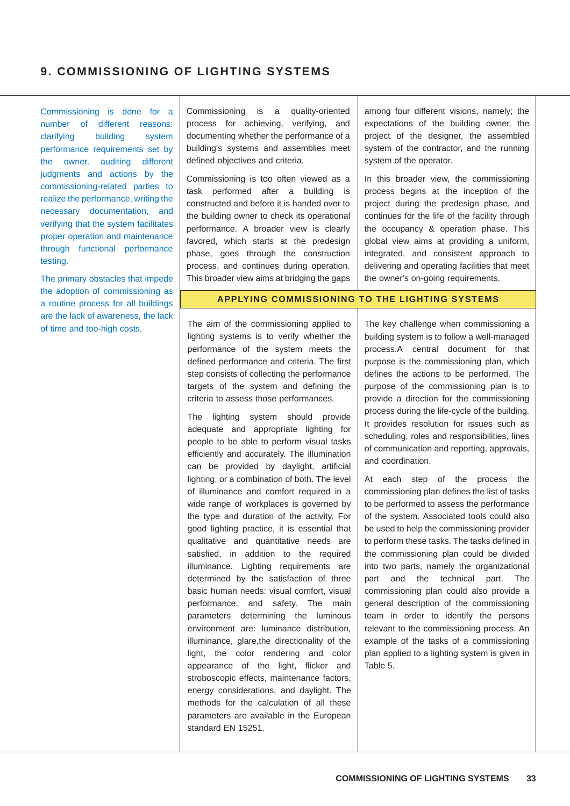## **9. COMMISSIONING OF LIGHTING SYSTEMS**

Commissioning is done for a number of different reasons: clarifying building system performance requirements set by the owner, auditing different judgments and actions by the commissioning-related parties to realize the performance, writing the necessary documentation, and verifying that the system facilitates proper operation and maintenance through functional performance testing.

The primary obstacles that impede the adoption of commissioning as a routine process for all buildings are the lack of awareness, the lack of time and too-high costs.

Commissioning is a quality-oriented process for achieving, verifying, and documenting whether the performance of a building's systems and assemblies meet defined objectives and criteria.

Commissioning is too often viewed as a task performed after a building is constructed and before it is handed over to the building owner to check its operational performance. A broader view is clearly favored, which starts at the predesign phase, goes through the construction process, and continues during operation. This broader view aims at bridging the gaps

among four different visions, namely; the expectations of the building owner, the project of the designer, the assembled system of the contractor, and the running system of the operator.

In this broader view, the commissioning process begins at the inception of the project during the predesign phase, and continues for the life of the facility through the occupancy & operation phase. This global view aims at providing a uniform, integrated, and consistent approach to delivering and operating facilities that meet the owner's on-going requirements.

#### **APPLYING COMMISSIONING TO THE LIGHTING SYSTEMS**

The aim of the commissioning applied to lighting systems is to verify whether the performance of the system meets the defined performance and criteria. The first step consists of collecting the performance targets of the system and defining the criteria to assess those performances.

The lighting system should provide adequate and appropriate lighting for people to be able to perform visual tasks efficiently and accurately. The illumination can be provided by daylight, artificial lighting, or a combination of both. The level of illuminance and comfort required in a wide range of workplaces is governed by the type and duration of the activity. For good lighting practice, it is essential that qualitative and quantitative needs are satisfied, in addition to the required illuminance. Lighting requirements are determined by the satisfaction of three basic human needs: visual comfort, visual performance, and safety. The main parameters determining the luminous environment are: luminance distribution, illuminance, glare,the directionality of the light, the color rendering and color appearance of the light, flicker and stroboscopic effects, maintenance factors, energy considerations, and daylight. The methods for the calculation of all these parameters are available in the European standard EN 15251.

The key challenge when commissioning a building system is to follow a well-managed process.A central document for that purpose is the commissioning plan, which defines the actions to be performed. The purpose of the commissioning plan is to provide a direction for the commissioning process during the life-cycle of the building. It provides resolution for issues such as scheduling, roles and responsibilities, lines of communication and reporting, approvals, and coordination.

At each step of the process the commissioning plan defines the list of tasks to be performed to assess the performance of the system. Associated tools could also be used to help the commissioning provider to perform these tasks. The tasks defined in the commissioning plan could be divided into two parts, namely the organizational part and the technical part. The commissioning plan could also provide a general description of the commissioning team in order to identify the persons relevant to the commissioning process. An example of the tasks of a commissioning plan applied to a lighting system is given in Table 5.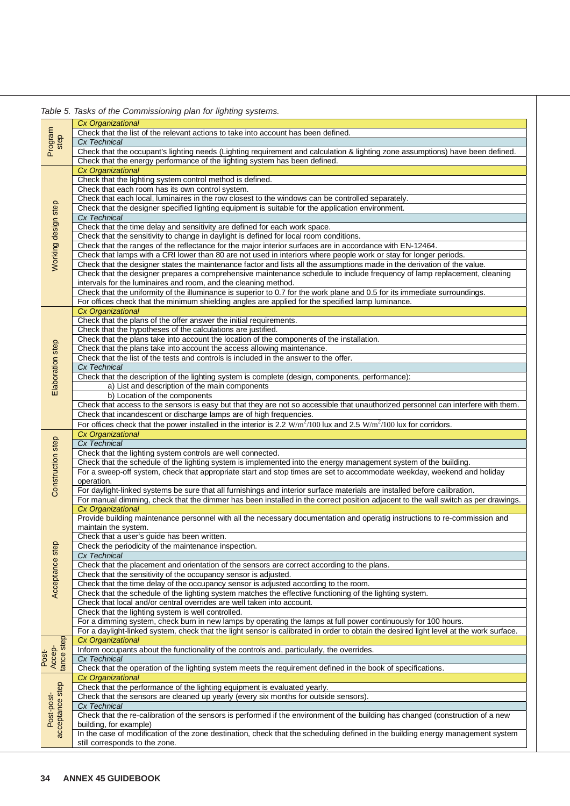|                      | Table 5. Tasks of the Commissioning plan for lighting systems.                                                                                                                                                                                                 |
|----------------------|----------------------------------------------------------------------------------------------------------------------------------------------------------------------------------------------------------------------------------------------------------------|
|                      | Cx Organizational                                                                                                                                                                                                                                              |
| Program<br>step      | Check that the list of the relevant actions to take into account has been defined.                                                                                                                                                                             |
|                      | Cx Technical                                                                                                                                                                                                                                                   |
|                      | Check that the occupant's lighting needs (Lighting requirement and calculation & lighting zone assumptions) have been defined.                                                                                                                                 |
|                      | Check that the energy performance of the lighting system has been defined.                                                                                                                                                                                     |
|                      | Cx Organizational<br>Check that the lighting system control method is defined.                                                                                                                                                                                 |
|                      | Check that each room has its own control system.                                                                                                                                                                                                               |
|                      | Check that each local, luminaires in the row closest to the windows can be controlled separately.                                                                                                                                                              |
|                      | Check that the designer specified lighting equipment is suitable for the application environment.                                                                                                                                                              |
|                      | Cx Technical                                                                                                                                                                                                                                                   |
|                      | Check that the time delay and sensitivity are defined for each work space.                                                                                                                                                                                     |
| Working design step  | Check that the sensitivity to change in daylight is defined for local room conditions.                                                                                                                                                                         |
|                      | Check that the ranges of the reflectance for the major interior surfaces are in accordance with EN-12464.                                                                                                                                                      |
|                      | Check that lamps with a CRI lower than 80 are not used in interiors where people work or stay for longer periods.                                                                                                                                              |
|                      | Check that the designer states the maintenance factor and lists all the assumptions made in the derivation of the value.                                                                                                                                       |
|                      | Check that the designer prepares a comprehensive maintenance schedule to include frequency of lamp replacement, cleaning<br>intervals for the luminaires and room, and the cleaning method.                                                                    |
|                      | Check that the uniformity of the illuminance is superior to 0.7 for the work plane and 0.5 for its immediate surroundings.                                                                                                                                     |
|                      | For offices check that the minimum shielding angles are applied for the specified lamp luminance.                                                                                                                                                              |
|                      | <b>Cx Organizational</b>                                                                                                                                                                                                                                       |
|                      | Check that the plans of the offer answer the initial requirements.                                                                                                                                                                                             |
|                      | Check that the hypotheses of the calculations are justified.                                                                                                                                                                                                   |
|                      | Check that the plans take into account the location of the components of the installation.                                                                                                                                                                     |
|                      | Check that the plans take into account the access allowing maintenance.                                                                                                                                                                                        |
|                      | Check that the list of the tests and controls is included in the answer to the offer.                                                                                                                                                                          |
| Elaboration step     | Cx Technical                                                                                                                                                                                                                                                   |
|                      | Check that the description of the lighting system is complete (design, components, performance):<br>a) List and description of the main components                                                                                                             |
|                      | b) Location of the components                                                                                                                                                                                                                                  |
|                      | Check that access to the sensors is easy but that they are not so accessible that unauthorized personnel can interfere with them.                                                                                                                              |
|                      | Check that incandescent or discharge lamps are of high frequencies.                                                                                                                                                                                            |
|                      | For offices check that the power installed in the interior is 2.2 $W/m2/100$ lux and 2.5 $W/m2/100$ lux for corridors.                                                                                                                                         |
|                      |                                                                                                                                                                                                                                                                |
|                      | Cx Organizational                                                                                                                                                                                                                                              |
|                      | Cx Technical                                                                                                                                                                                                                                                   |
|                      | Check that the lighting system controls are well connected.                                                                                                                                                                                                    |
|                      | Check that the schedule of the lighting system is implemented into the energy management system of the building.                                                                                                                                               |
|                      | For a sweep-off system, check that appropriate start and stop times are set to accommodate weekday, weekend and holiday                                                                                                                                        |
|                      | operation.                                                                                                                                                                                                                                                     |
| Construction step    | For daylight-linked systems be sure that all furnishings and interior surface materials are installed before calibration.<br>For manual dimming, check that the dimmer has been installed in the correct position adjacent to the wall switch as per drawings. |
|                      | <b>Cx Organizational</b>                                                                                                                                                                                                                                       |
|                      | Provide building maintenance personnel with all the necessary documentation and operatig instructions to re-commission and                                                                                                                                     |
|                      | maintain the system.                                                                                                                                                                                                                                           |
|                      | Check that a user's guide has been written.                                                                                                                                                                                                                    |
|                      | Check the periodicity of the maintenance inspection.                                                                                                                                                                                                           |
|                      | Cx Technical                                                                                                                                                                                                                                                   |
|                      | Check that the placement and orientation of the sensors are correct according to the plans.                                                                                                                                                                    |
|                      | Check that the sensitivity of the occupancy sensor is adjusted.                                                                                                                                                                                                |
|                      | Check that the time delay of the occupancy sensor is adjusted according to the room.<br>Check that the schedule of the lighting system matches the effective functioning of the lighting system.                                                               |
| Acceptance step      | Check that local and/or central overrides are well taken into account.                                                                                                                                                                                         |
|                      | Check that the lighting system is well controlled.                                                                                                                                                                                                             |
|                      | For a dimming system, check burn in new lamps by operating the lamps at full power continuously for 100 hours.                                                                                                                                                 |
|                      | For a daylight-linked system, check that the light sensor is calibrated in order to obtain the desired light level at the work surface.                                                                                                                        |
|                      | Cx Organizational                                                                                                                                                                                                                                              |
|                      | Inform occupants about the functionality of the controls and, particularly, the overrides.                                                                                                                                                                     |
| Post-                | Cx Technical                                                                                                                                                                                                                                                   |
| Accep-<br>tance step | Check that the operation of the lighting system meets the requirement defined in the book of specifications.<br>Cx Organizational                                                                                                                              |
|                      | Check that the performance of the lighting equipment is evaluated yearly.                                                                                                                                                                                      |
|                      | Check that the sensors are cleaned up yearly (every six months for outside sensors).                                                                                                                                                                           |
|                      | Cx Technical                                                                                                                                                                                                                                                   |
|                      | Check that the re-calibration of the sensors is performed if the environment of the building has changed (construction of a new                                                                                                                                |
| Post-post-           | building, for example)                                                                                                                                                                                                                                         |
| acceptance step      | In the case of modification of the zone destination, check that the scheduling defined in the building energy management system<br>still corresponds to the zone.                                                                                              |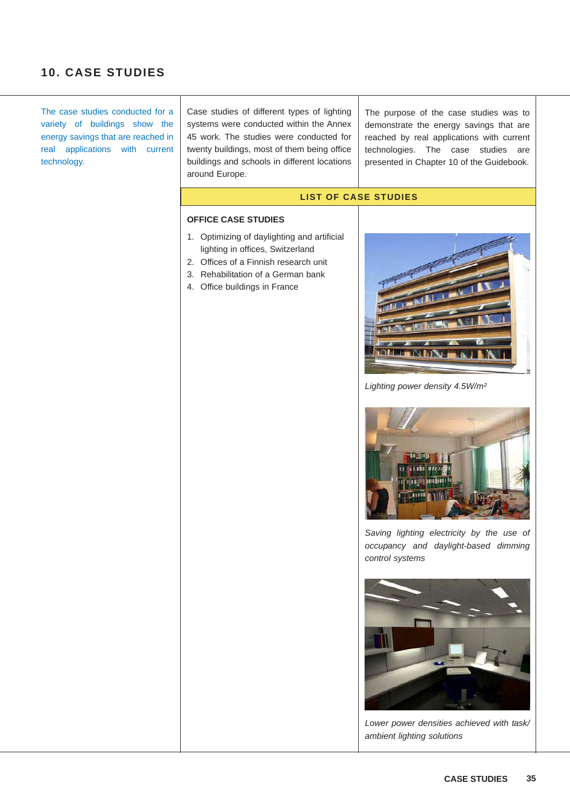## **10. CASE STUDIES**

The case studies conducted for a variety of buildings show the energy savings that are reached in real applications with current technology.

Case studies of different types of lighting systems were conducted within the Annex 45 work. The studies were conducted for twenty buildings, most of them being office buildings and schools in different locations around Europe.

The purpose of the case studies was to demonstrate the energy savings that are reached by real applications with current technologies. The case studies are presented in Chapter 10 of the Guidebook.

#### **LIST OF CASE STUDIES**

#### **OFFICE CASE STUDIES**

- 1. Optimizing of daylighting and artificial lighting in offices, Switzerland
- 2. Offices of a Finnish research unit
- 3. Rehabilitation of a German bank
- 4. Office buildings in France



*Lighting power density 4.5W/m²*



*Saving lighting electricity by the use of occupancy and daylight-based dimming control systems*



*Lower power densities achieved with task/ ambient lighting solutions*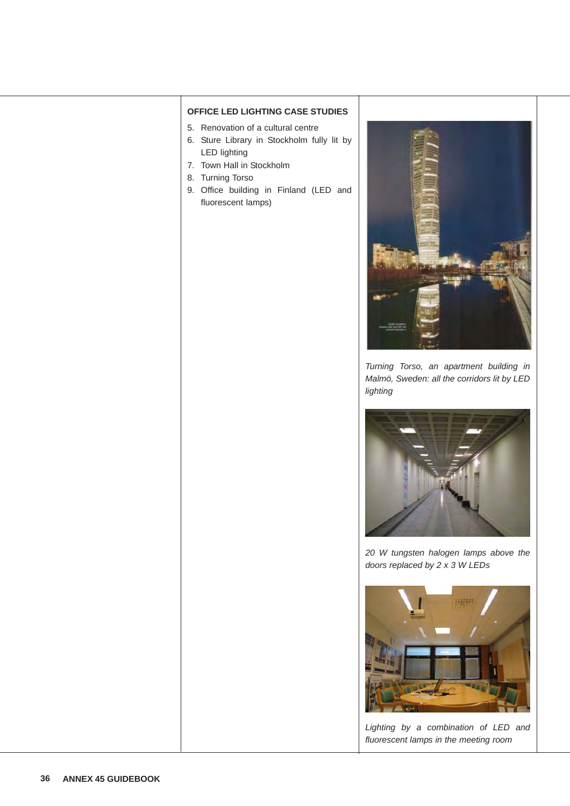### **OFFICE LED LIGHTING CASE STUDIES**

- 5. Renovation of a cultural centre
- 6. Sture Library in Stockholm fully lit by LED lighting
- 7. Town Hall in Stockholm
- 8. Turning Torso
- 9. Office building in Finland (LED and fluorescent lamps)



*Turning Torso, an apartment building in Malmö, Sweden: all the corridors lit by LED lighting*



*20 W tungsten halogen lamps above the doors replaced by 2 x 3 W LEDs*



*Lighting by a combination of LED and fluorescent lamps in the meeting room*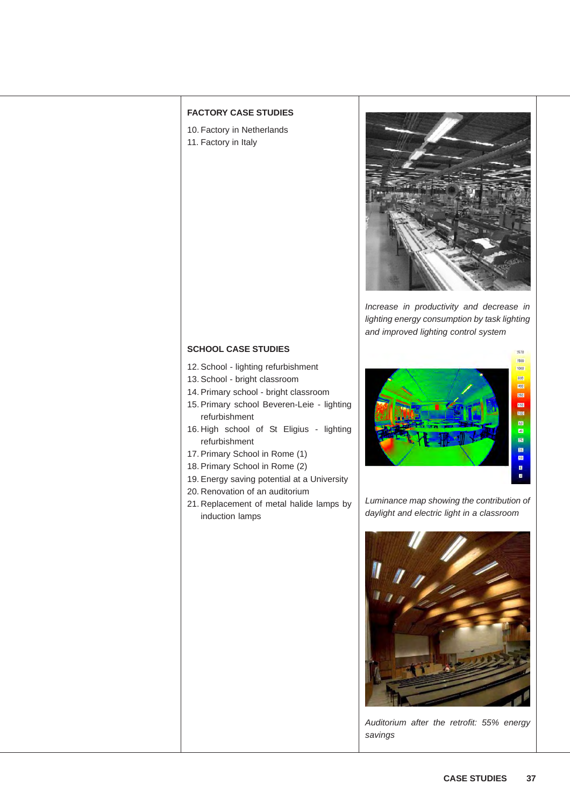### **FACTORY CASE STUDIES**

10. Factory in Netherlands 11. Factory in Italy



*Increase in productivity and decrease in lighting energy consumption by task lighting and improved lighting control system*

#### **SCHOOL CASE STUDIES**

- 12. School lighting refurbishment
- 13. School bright classroom
- 14. Primary school bright classroom
- 15. Primary school Beveren-Leie lighting refurbishment
- 16. High school of St Eligius lighting refurbishment
- 17. Primary School in Rome (1)
- 18. Primary School in Rome (2)
- 19. Energy saving potential at a University
- 20. Renovation of an auditorium
- 21. Replacement of metal halide lamps by induction lamps



*Luminance map showing the contribution of daylight and electric light in a classroom*



*Auditorium after the retrofit: 55% energy savings*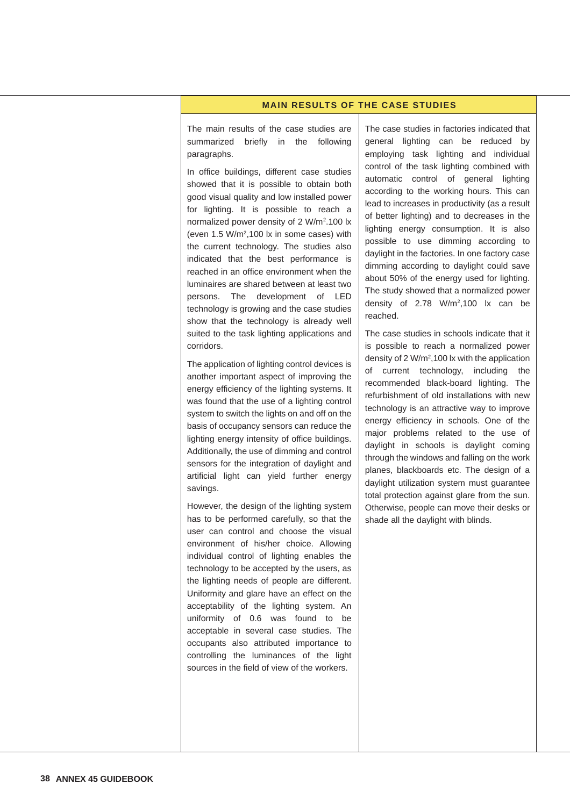#### **MAIN RESULTS OF THE CASE STUDIES**

The main results of the case studies are summarized briefly in the following paragraphs.

In office buildings, different case studies showed that it is possible to obtain both good visual quality and low installed power for lighting. It is possible to reach a normalized power density of 2 W/m<sup>2</sup>.100 lx (even 1.5 W/m2,100 lx in some cases) with the current technology. The studies also indicated that the best performance is reached in an office environment when the luminaires are shared between at least two persons. The development of LED technology is growing and the case studies show that the technology is already well suited to the task lighting applications and corridors.

The application of lighting control devices is another important aspect of improving the energy efficiency of the lighting systems. It was found that the use of a lighting control system to switch the lights on and off on the basis of occupancy sensors can reduce the lighting energy intensity of office buildings. Additionally, the use of dimming and control sensors for the integration of daylight and artificial light can yield further energy savings.

However, the design of the lighting system has to be performed carefully, so that the user can control and choose the visual environment of his/her choice. Allowing individual control of lighting enables the technology to be accepted by the users, as the lighting needs of people are different. Uniformity and glare have an effect on the acceptability of the lighting system. An uniformity of 0.6 was found to be acceptable in several case studies. The occupants also attributed importance to controlling the luminances of the light sources in the field of view of the workers.

The case studies in factories indicated that general lighting can be reduced by employing task lighting and individual control of the task lighting combined with automatic control of general lighting according to the working hours. This can lead to increases in productivity (as a result of better lighting) and to decreases in the lighting energy consumption. It is also possible to use dimming according to daylight in the factories. In one factory case dimming according to daylight could save about 50% of the energy used for lighting. The study showed that a normalized power density of 2.78 W/m<sup>2</sup>,100 lx can be reached.

The case studies in schools indicate that it is possible to reach a normalized power density of 2 W/m<sup>2</sup>,100 lx with the application of current technology, including the recommended black-board lighting. The refurbishment of old installations with new technology is an attractive way to improve energy efficiency in schools. One of the major problems related to the use of daylight in schools is daylight coming through the windows and falling on the work planes, blackboards etc. The design of a daylight utilization system must guarantee total protection against glare from the sun. Otherwise, people can move their desks or shade all the daylight with blinds.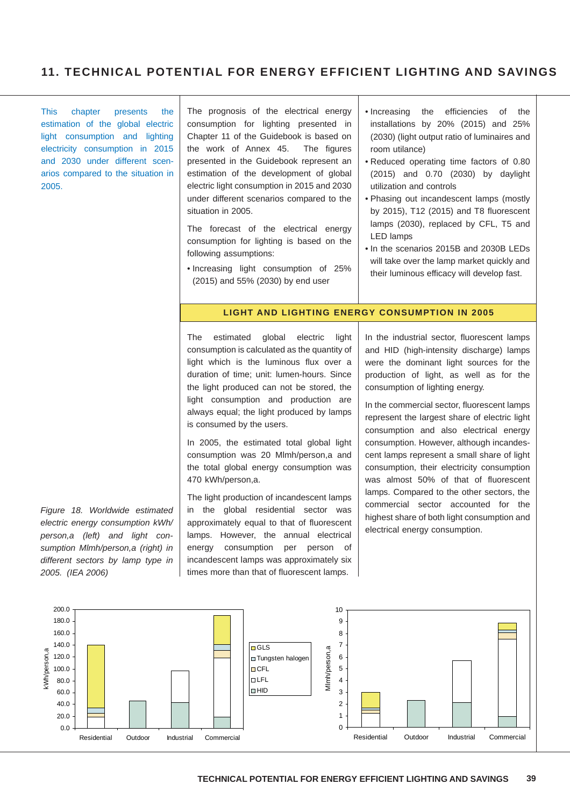## **11. TECHNICAL POTENTIAL FOR ENERGY EFFICIENT LIGHTING AND SAVINGS**

This chapter presents the estimation of the global electric light consumption and lighting electricity consumption in 2015 and 2030 under different scenarios compared to the situation in 2005.

*Figure 18. Worldwide estimated electric energy consumption kWh/ person,a (left) and light consumption Mlmh/person,a (right) in different sectors by lamp type in*

*2005. (IEA 2006)*

The prognosis of the electrical energy consumption for lighting presented in Chapter 11 of the Guidebook is based on the work of Annex 45. The figures presented in the Guidebook represent an estimation of the development of global electric light consumption in 2015 and 2030 under different scenarios compared to the situation in 2005.

The forecast of the electrical energy consumption for lighting is based on the following assumptions:

• Increasing light consumption of 25% (2015) and 55% (2030) by end user

- Increasing the efficiencies of the installations by 20% (2015) and 25% (2030) (light output ratio of luminaires and room utilance)
- Reduced operating time factors of 0.80 (2015) and 0.70 (2030) by daylight utilization and controls
- Phasing out incandescent lamps (mostly by 2015), T12 (2015) and T8 fluorescent lamps (2030), replaced by CFL, T5 and LED lamps
- In the scenarios 2015B and 2030B LEDs will take over the lamp market quickly and their luminous efficacy will develop fast.

#### **LIGHT AND LIGHTING ENERGY CONSUMPTION IN 2005**

The estimated global electric light consumption is calculated as the quantity of light which is the luminous flux over a duration of time; unit: lumen-hours. Since the light produced can not be stored, the light consumption and production are always equal; the light produced by lamps is consumed by the users.

In 2005, the estimated total global light consumption was 20 Mlmh/person,a and the total global energy consumption was 470 kWh/person,a.

The light production of incandescent lamps in the global residential sector was approximately equal to that of fluorescent lamps. However, the annual electrical energy consumption per person of incandescent lamps was approximately six times more than that of fluorescent lamps.

In the industrial sector, fluorescent lamps and HID (high-intensity discharge) lamps were the dominant light sources for the production of light, as well as for the consumption of lighting energy.

In the commercial sector, fluorescent lamps represent the largest share of electric light consumption and also electrical energy consumption. However, although incandescent lamps represent a small share of light consumption, their electricity consumption was almost 50% of that of fluorescent lamps. Compared to the other sectors, the commercial sector accounted for the highest share of both light consumption and electrical energy consumption.

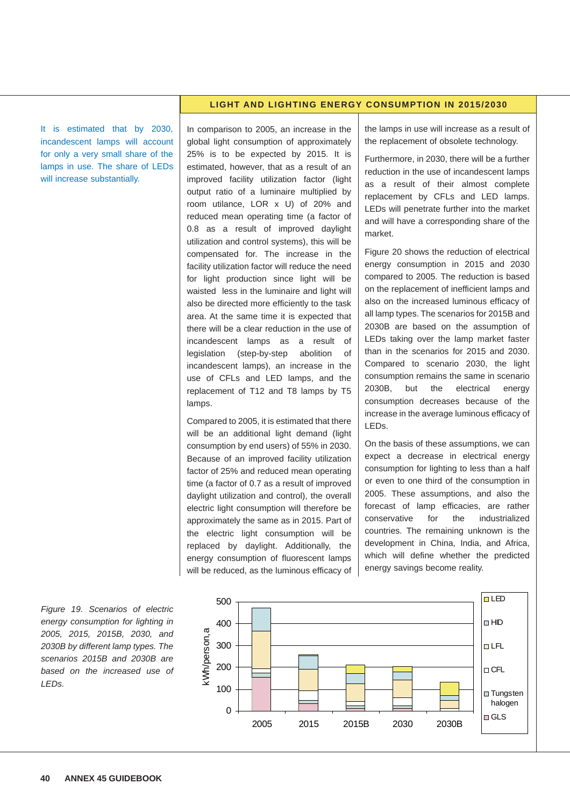#### **LIGHT AND LIGHTING ENERGY CONSUMPTION IN 2015/2030**

It is estimated that by 2030, incandescent lamps will account for only a very small share of the lamps in use. The share of LEDs will increase substantially.

In comparison to 2005, an increase in the global light consumption of approximately 25% is to be expected by 2015. It is estimated, however, that as a result of an improved facility utilization factor (light output ratio of a luminaire multiplied by room utilance, LOR x U) of 20% and reduced mean operating time (a factor of 0.8 as a result of improved daylight utilization and control systems), this will be compensated for. The increase in the facility utilization factor will reduce the need for light production since light will be waisted less in the luminaire and light will also be directed more efficiently to the task area. At the same time it is expected that there will be a clear reduction in the use of incandescent lamps as a result of legislation (step-by-step abolition of incandescent lamps), an increase in the use of CFLs and LED lamps, and the replacement of T12 and T8 lamps by T5 lamps.

Compared to 2005, it is estimated that there will be an additional light demand (light consumption by end users) of 55% in 2030. Because of an improved facility utilization factor of 25% and reduced mean operating time (a factor of 0.7 as a result of improved daylight utilization and control), the overall electric light consumption will therefore be approximately the same as in 2015. Part of the electric light consumption will be replaced by daylight. Additionally, the energy consumption of fluorescent lamps will be reduced, as the luminous efficacy of

the lamps in use will increase as a result of the replacement of obsolete technology.

Furthermore, in 2030, there will be a further reduction in the use of incandescent lamps as a result of their almost complete replacement by CFLs and LED lamps. LEDs will penetrate further into the market and will have a corresponding share of the market.

Figure 20 shows the reduction of electrical energy consumption in 2015 and 2030 compared to 2005. The reduction is based on the replacement of inefficient lamps and also on the increased luminous efficacy of all lamp types. The scenarios for 2015B and 2030B are based on the assumption of LEDs taking over the lamp market faster than in the scenarios for 2015 and 2030. Compared to scenario 2030, the light consumption remains the same in scenario 2030B, but the electrical energy consumption decreases because of the increase in the average luminous efficacy of LEDs.

On the basis of these assumptions, we can expect a decrease in electrical energy consumption for lighting to less than a half or even to one third of the consumption in 2005. These assumptions, and also the forecast of lamp efficacies, are rather conservative for the industrialized countries. The remaining unknown is the development in China, India, and Africa, which will define whether the predicted energy savings become reality.

*Figure 19. Scenarios of electric energy consumption for lighting in 2005, 2015, 2015B, 2030, and 2030B by different lamp types. The scenarios 2015B and 2030B are based on the increased use of LEDs.*

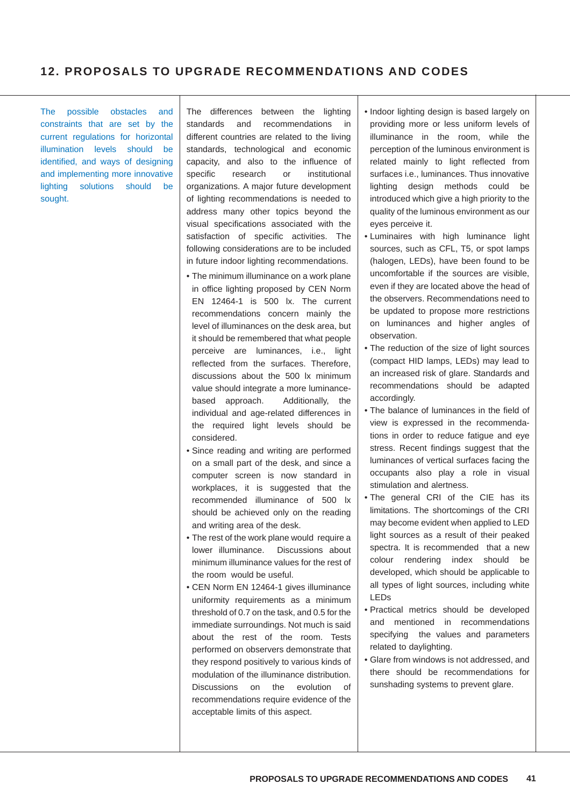## **12. PROPOSALS TO UPGRADE RECOMMENDATIONS AND CODES**

The possible obstacles and constraints that are set by the current regulations for horizontal illumination levels should be identified, and ways of designing and implementing more innovative lighting solutions should be sought.

The differences between the lighting standards and recommendations in different countries are related to the living standards, technological and economic capacity, and also to the influence of specific research or institutional organizations. A major future development of lighting recommendations is needed to address many other topics beyond the visual specifications associated with the satisfaction of specific activities. The following considerations are to be included in future indoor lighting recommendations.

- The minimum illuminance on a work plane in office lighting proposed by CEN Norm EN 12464-1 is 500 lx. The current recommendations concern mainly the level of illuminances on the desk area, but it should be remembered that what people perceive are luminances, i.e., light reflected from the surfaces. Therefore, discussions about the 500 lx minimum value should integrate a more luminancebased approach. Additionally, the individual and age-related differences in the required light levels should be considered.
- Since reading and writing are performed on a small part of the desk, and since a computer screen is now standard in workplaces, it is suggested that the recommended illuminance of 500 lx should be achieved only on the reading and writing area of the desk.
- The rest of the work plane would require a lower illuminance. Discussions about minimum illuminance values for the rest of the room would be useful.
- CEN Norm EN 12464-1 gives illuminance uniformity requirements as a minimum threshold of 0.7 on the task, and 0.5 for the immediate surroundings. Not much is said about the rest of the room. Tests performed on observers demonstrate that they respond positively to various kinds of modulation of the illuminance distribution. Discussions on the evolution of recommendations require evidence of the acceptable limits of this aspect.
- Indoor lighting design is based largely on providing more or less uniform levels of illuminance in the room, while the perception of the luminous environment is related mainly to light reflected from surfaces i.e., luminances. Thus innovative lighting design methods could be introduced which give a high priority to the quality of the luminous environment as our eyes perceive it.
- Luminaires with high luminance light sources, such as CFL, T5, or spot lamps (halogen, LEDs), have been found to be uncomfortable if the sources are visible, even if they are located above the head of the observers. Recommendations need to be updated to propose more restrictions on luminances and higher angles of observation.
- The reduction of the size of light sources (compact HID lamps, LEDs) may lead to an increased risk of glare. Standards and recommendations should be adapted accordingly.
- The balance of luminances in the field of view is expressed in the recommendations in order to reduce fatigue and eye stress. Recent findings suggest that the luminances of vertical surfaces facing the occupants also play a role in visual stimulation and alertness.
- The general CRI of the CIE has its limitations. The shortcomings of the CRI may become evident when applied to LED light sources as a result of their peaked spectra. It is recommended that a new colour rendering index should be developed, which should be applicable to all types of light sources, including white LEDs
- Practical metrics should be developed and mentioned in recommendations specifying the values and parameters related to daylighting.
- Glare from windows is not addressed, and there should be recommendations for sunshading systems to prevent glare.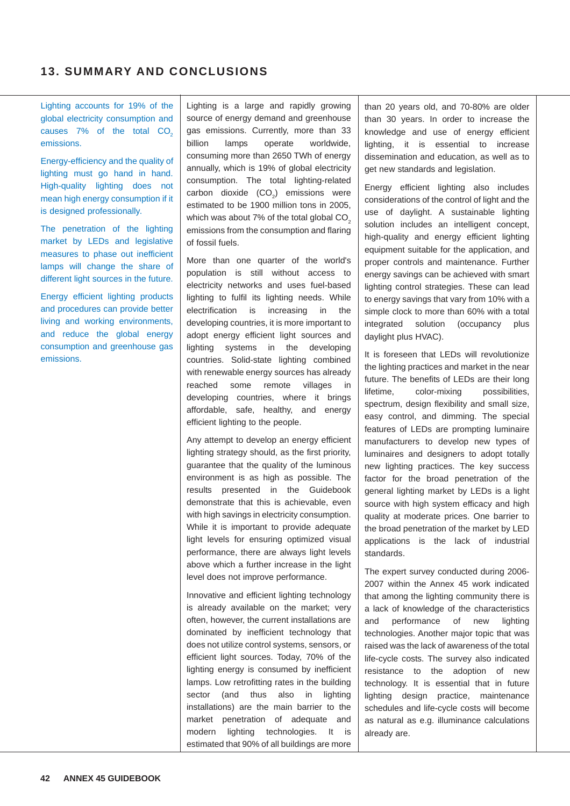## **13. SUMMARY AND CONCLUSIONS**

Lighting accounts for 19% of the global electricity consumption and causes  $7\%$  of the total  $CO<sub>2</sub>$ emissions.

Energy-efficiency and the quality of lighting must go hand in hand. High-quality lighting does not mean high energy consumption if it is designed professionally.

The penetration of the lighting market by LEDs and legislative measures to phase out inefficient lamps will change the share of different light sources in the future.

Energy efficient lighting products and procedures can provide better living and working environments, and reduce the global energy consumption and greenhouse gas emissions.

Lighting is a large and rapidly growing source of energy demand and greenhouse gas emissions. Currently, more than 33 billion lamps operate worldwide, consuming more than 2650 TWh of energy annually, which is 19% of global electricity consumption. The total lighting-related  $\textsf{carbon} \quad \textsf{doxide} \quad (\textsf{CO}_2) \quad \textsf{emissions} \quad \textsf{were}$ estimated to be 1900 million tons in 2005, which was about 7% of the total global CO<sub>2</sub> emissions from the consumption and flaring of fossil fuels.

More than one quarter of the world's population is still without access to electricity networks and uses fuel-based lighting to fulfil its lighting needs. While electrification is increasing in the developing countries, it is more important to adopt energy efficient light sources and lighting systems in the developing countries. Solid-state lighting combined with renewable energy sources has already reached some remote villages in developing countries, where it brings affordable, safe, healthy, and energy efficient lighting to the people.

Any attempt to develop an energy efficient lighting strategy should, as the first priority, guarantee that the quality of the luminous environment is as high as possible. The results presented in the Guidebook demonstrate that this is achievable, even with high savings in electricity consumption. While it is important to provide adequate light levels for ensuring optimized visual performance, there are always light levels above which a further increase in the light level does not improve performance.

Innovative and efficient lighting technology is already available on the market; very often, however, the current installations are dominated by inefficient technology that does not utilize control systems, sensors, or efficient light sources. Today, 70% of the lighting energy is consumed by inefficient lamps. Low retrofitting rates in the building sector (and thus also in lighting installations) are the main barrier to the market penetration of adequate and modern lighting technologies. It is estimated that 90% of all buildings are more

than 20 years old, and 70-80% are older than 30 years. In order to increase the knowledge and use of energy efficient lighting, it is essential to increase dissemination and education, as well as to get new standards and legislation.

Energy efficient lighting also includes considerations of the control of light and the use of daylight. A sustainable lighting solution includes an intelligent concept, high-quality and energy efficient lighting equipment suitable for the application, and proper controls and maintenance. Further energy savings can be achieved with smart lighting control strategies. These can lead to energy savings that vary from 10% with a simple clock to more than 60% with a total integrated solution (occupancy plus daylight plus HVAC).

It is foreseen that LEDs will revolutionize the lighting practices and market in the near future. The benefits of LEDs are their long lifetime, color-mixing possibilities, spectrum, design flexibility and small size, easy control, and dimming. The special features of LEDs are prompting luminaire manufacturers to develop new types of luminaires and designers to adopt totally new lighting practices. The key success factor for the broad penetration of the general lighting market by LEDs is a light source with high system efficacy and high quality at moderate prices. One barrier to the broad penetration of the market by LED applications is the lack of industrial standards.

The expert survey conducted during 2006- 2007 within the Annex 45 work indicated that among the lighting community there is a lack of knowledge of the characteristics and performance of new lighting technologies. Another major topic that was raised was the lack of awareness of the total life-cycle costs. The survey also indicated resistance to the adoption of new technology. It is essential that in future lighting design practice, maintenance schedules and life-cycle costs will become as natural as e.g. illuminance calculations already are.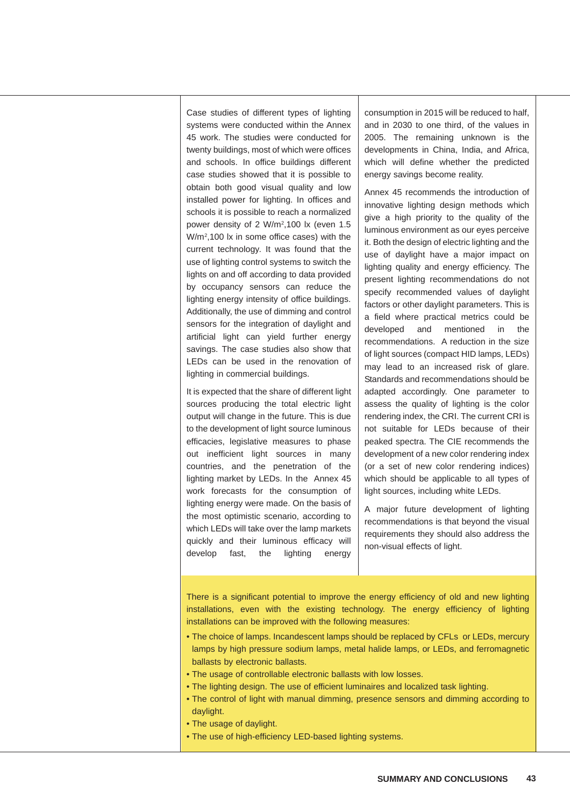Case studies of different types of lighting systems were conducted within the Annex 45 work. The studies were conducted for twenty buildings, most of which were offices and schools. In office buildings different case studies showed that it is possible to obtain both good visual quality and low installed power for lighting. In offices and schools it is possible to reach a normalized power density of 2 W/m2 ,100 lx (even 1.5 W/m2,100 lx in some office cases) with the current technology. It was found that the use of lighting control systems to switch the lights on and off according to data provided by occupancy sensors can reduce the lighting energy intensity of office buildings. Additionally, the use of dimming and control sensors for the integration of daylight and artificial light can yield further energy savings. The case studies also show that LEDs can be used in the renovation of lighting in commercial buildings.

It is expected that the share of different light sources producing the total electric light output will change in the future. This is due to the development of light source luminous efficacies, legislative measures to phase out inefficient light sources in many countries, and the penetration of the lighting market by LEDs. In the Annex 45 work forecasts for the consumption of lighting energy were made. On the basis of the most optimistic scenario, according to which LEDs will take over the lamp markets quickly and their luminous efficacy will develop fast, the lighting energy

consumption in 2015 will be reduced to half, and in 2030 to one third, of the values in 2005. The remaining unknown is the developments in China, India, and Africa, which will define whether the predicted energy savings become reality.

Annex 45 recommends the introduction of innovative lighting design methods which give a high priority to the quality of the luminous environment as our eyes perceive it. Both the design of electric lighting and the use of daylight have a major impact on lighting quality and energy efficiency. The present lighting recommendations do not specify recommended values of daylight factors or other daylight parameters. This is a field where practical metrics could be developed and mentioned in the recommendations. A reduction in the size of light sources (compact HID lamps, LEDs) may lead to an increased risk of glare. Standards and recommendations should be adapted accordingly. One parameter to assess the quality of lighting is the color rendering index, the CRI. The current CRI is not suitable for LEDs because of their peaked spectra. The CIE recommends the development of a new color rendering index (or a set of new color rendering indices) which should be applicable to all types of light sources, including white LEDs.

A major future development of lighting recommendations is that beyond the visual requirements they should also address the non-visual effects of light.

There is a significant potential to improve the energy efficiency of old and new lighting installations, even with the existing technology. The energy efficiency of lighting installations can be improved with the following measures:

- The choice of lamps. Incandescent lamps should be replaced by CFLs or LEDs, mercury lamps by high pressure sodium lamps, metal halide lamps, or LEDs, and ferromagnetic ballasts by electronic ballasts.
- The usage of controllable electronic ballasts with low losses.
- The lighting design. The use of efficient luminaires and localized task lighting.
- The control of light with manual dimming, presence sensors and dimming according to daylight.
- The usage of daylight.
- The use of high-efficiency LED-based lighting systems.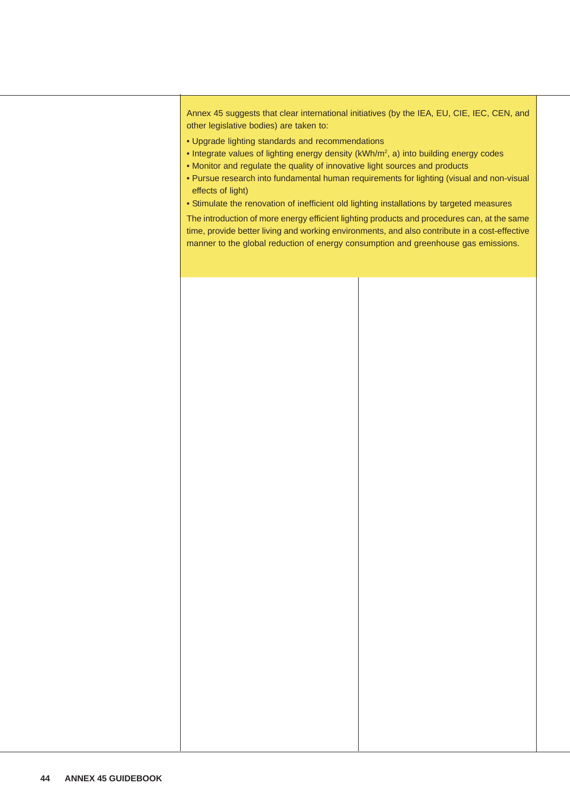Annex 45 suggests that clear international initiatives (by the IEA, EU, CIE, IEC, CEN, and other legislative bodies) are taken to:

- Upgrade lighting standards and recommendations
- Integrate values of lighting energy density (kWh/m<sup>2</sup>, a) into building energy codes
- Monitor and regulate the quality of innovative light sources and products
- Pursue research into fundamental human requirements for lighting (visual and non-visual effects of light)
- Stimulate the renovation of inefficient old lighting installations by targeted measures

The introduction of more energy efficient lighting products and procedures can, at the same time, provide better living and working environments, and also contribute in a cost-effective manner to the global reduction of energy consumption and greenhouse gas emissions.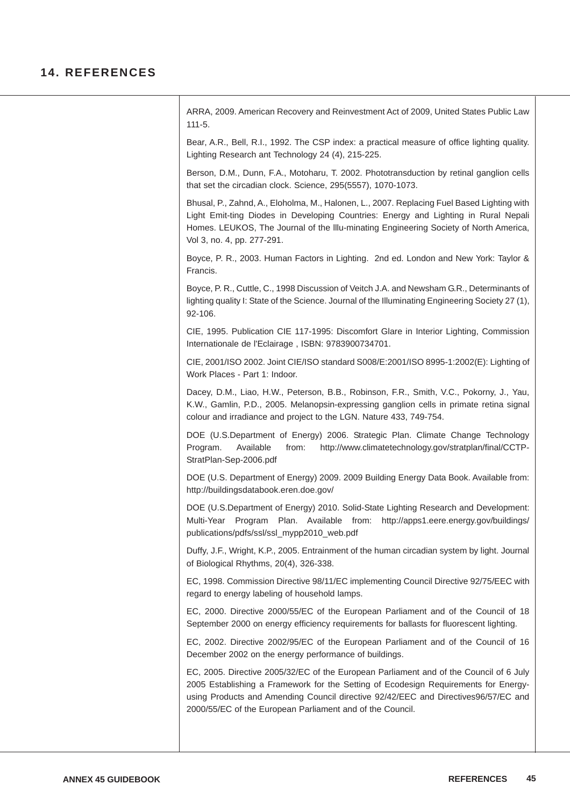### **14. REFERENCES**

ARRA, 2009. American Recovery and Reinvestment Act of 2009, United States Public Law 111-5.

Bear, A.R., Bell, R.I., 1992. The CSP index: a practical measure of office lighting quality. Lighting Research ant Technology 24 (4), 215-225.

Berson, D.M., Dunn, F.A., Motoharu, T. 2002. Phototransduction by retinal ganglion cells that set the circadian clock. Science, 295(5557), 1070-1073.

Bhusal, P., Zahnd, A., Eloholma, M., Halonen, L., 2007. Replacing Fuel Based Lighting with Light Emit-ting Diodes in Developing Countries: Energy and Lighting in Rural Nepali Homes. LEUKOS, The Journal of the lllu-minating Engineering Society of North America, Vol 3, no. 4, pp. 277-291.

Boyce, P. R., 2003. Human Factors in Lighting. 2nd ed. London and New York: Taylor & Francis.

Boyce, P. R., Cuttle, C., 1998 Discussion of Veitch J.A. and Newsham G.R., Determinants of lighting quality I: State of the Science. Journal of the Illuminating Engineering Society 27 (1), 92-106.

CIE, 1995. Publication CIE 117-1995: Discomfort Glare in Interior Lighting, Commission Internationale de l'Eclairage , ISBN: 9783900734701.

CIE, 2001/ISO 2002. Joint CIE/ISO standard S008/E:2001/ISO 8995-1:2002(E): Lighting of Work Places - Part 1: Indoor.

Dacey, D.M., Liao, H.W., Peterson, B.B., Robinson, F.R., Smith, V.C., Pokorny, J., Yau, K.W., Gamlin, P.D., 2005. Melanopsin-expressing ganglion cells in primate retina signal colour and irradiance and project to the LGN. Nature 433, 749-754.

DOE (U.S.Department of Energy) 2006. Strategic Plan. Climate Change Technology Program. Available from: http://www.climatetechnology.gov/stratplan/final/CCTP-StratPlan-Sep-2006.pdf

DOE (U.S. Department of Energy) 2009. 2009 Building Energy Data Book. Available from: http://buildingsdatabook.eren.doe.gov/

DOE (U.S.Department of Energy) 2010. Solid-State Lighting Research and Development: Multi-Year Program Plan. Available from: http://apps1.eere.energy.gov/buildings/ publications/pdfs/ssl/ssl\_mypp2010\_web.pdf

Duffy, J.F., Wright, K.P., 2005. Entrainment of the human circadian system by light. Journal of Biological Rhythms, 20(4), 326-338.

EC, 1998. Commission Directive 98/11/EC implementing Council Directive 92/75/EEC with regard to energy labeling of household lamps.

EC, 2000. Directive 2000/55/EC of the European Parliament and of the Council of 18 September 2000 on energy efficiency requirements for ballasts for fluorescent lighting.

EC, 2002. Directive 2002/95/EC of the European Parliament and of the Council of 16 December 2002 on the energy performance of buildings.

EC, 2005. Directive 2005/32/EC of the European Parliament and of the Council of 6 July 2005 Establishing a Framework for the Setting of Ecodesign Requirements for Energyusing Products and Amending Council directive 92/42/EEC and Directives96/57/EC and 2000/55/EC of the European Parliament and of the Council.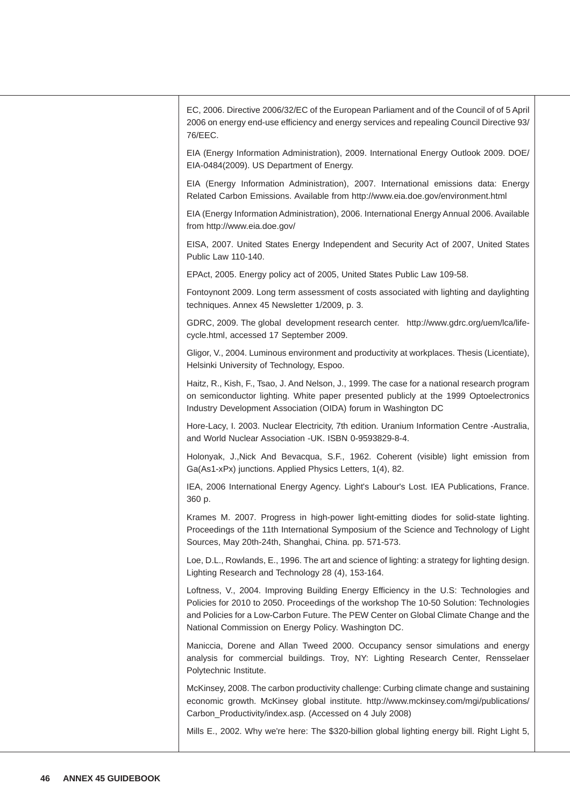| EC, 2006. Directive 2006/32/EC of the European Parliament and of the Council of of 5 April<br>2006 on energy end-use efficiency and energy services and repealing Council Directive 93/<br>76/EEC.                                                                                                                                |
|-----------------------------------------------------------------------------------------------------------------------------------------------------------------------------------------------------------------------------------------------------------------------------------------------------------------------------------|
| EIA (Energy Information Administration), 2009. International Energy Outlook 2009. DOE/<br>EIA-0484(2009). US Department of Energy.                                                                                                                                                                                                |
| EIA (Energy Information Administration), 2007. International emissions data: Energy<br>Related Carbon Emissions. Available from http://www.eia.doe.gov/environment.html                                                                                                                                                           |
| EIA (Energy Information Administration), 2006. International Energy Annual 2006. Available<br>from http://www.eia.doe.gov/                                                                                                                                                                                                        |
| EISA, 2007. United States Energy Independent and Security Act of 2007, United States<br>Public Law 110-140.                                                                                                                                                                                                                       |
| EPAct, 2005. Energy policy act of 2005, United States Public Law 109-58.                                                                                                                                                                                                                                                          |
| Fontoynont 2009. Long term assessment of costs associated with lighting and daylighting<br>techniques. Annex 45 Newsletter 1/2009, p. 3.                                                                                                                                                                                          |
| GDRC, 2009. The global development research center. http://www.gdrc.org/uem/lca/life-<br>cycle.html, accessed 17 September 2009.                                                                                                                                                                                                  |
| Gligor, V., 2004. Luminous environment and productivity at workplaces. Thesis (Licentiate),<br>Helsinki University of Technology, Espoo.                                                                                                                                                                                          |
| Haitz, R., Kish, F., Tsao, J. And Nelson, J., 1999. The case for a national research program<br>on semiconductor lighting. White paper presented publicly at the 1999 Optoelectronics<br>Industry Development Association (OIDA) forum in Washington DC                                                                           |
| Hore-Lacy, I. 2003. Nuclear Electricity, 7th edition. Uranium Information Centre -Australia,<br>and World Nuclear Association -UK. ISBN 0-9593829-8-4.                                                                                                                                                                            |
| Holonyak, J., Nick And Bevacqua, S.F., 1962. Coherent (visible) light emission from<br>Ga(As1-xPx) junctions. Applied Physics Letters, 1(4), 82.                                                                                                                                                                                  |
| IEA, 2006 International Energy Agency. Light's Labour's Lost. IEA Publications, France.<br>360 p.                                                                                                                                                                                                                                 |
| Krames M. 2007. Progress in high-power light-emitting diodes for solid-state lighting.<br>Proceedings of the 11th International Symposium of the Science and Technology of Light<br>Sources, May 20th-24th, Shanghai, China. pp. 571-573.                                                                                         |
| Loe, D.L., Rowlands, E., 1996. The art and science of lighting: a strategy for lighting design.<br>Lighting Research and Technology 28 (4), 153-164.                                                                                                                                                                              |
| Loftness, V., 2004. Improving Building Energy Efficiency in the U.S: Technologies and<br>Policies for 2010 to 2050. Proceedings of the workshop The 10-50 Solution: Technologies<br>and Policies for a Low-Carbon Future. The PEW Center on Global Climate Change and the<br>National Commission on Energy Policy. Washington DC. |
| Maniccia, Dorene and Allan Tweed 2000. Occupancy sensor simulations and energy<br>analysis for commercial buildings. Troy, NY: Lighting Research Center, Rensselaer<br>Polytechnic Institute.                                                                                                                                     |
| McKinsey, 2008. The carbon productivity challenge: Curbing climate change and sustaining<br>economic growth. McKinsey global institute. http://www.mckinsey.com/mgi/publications/<br>Carbon_Productivity/index.asp. (Accessed on 4 July 2008)                                                                                     |
| Mills E., 2002. Why we're here: The \$320-billion global lighting energy bill. Right Light 5,                                                                                                                                                                                                                                     |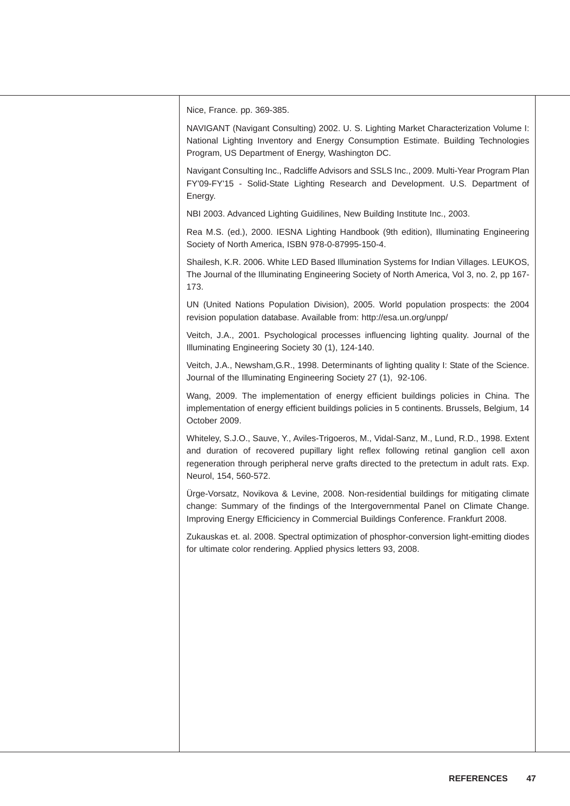Nice, France. pp. 369-385.

NAVIGANT (Navigant Consulting) 2002. U. S. Lighting Market Characterization Volume I: National Lighting Inventory and Energy Consumption Estimate. Building Technologies Program, US Department of Energy, Washington DC.

Navigant Consulting Inc., Radcliffe Advisors and SSLS Inc., 2009. Multi-Year Program Plan FY'09-FY'15 - Solid-State Lighting Research and Development. U.S. Department of Energy.

NBI 2003. Advanced Lighting Guidilines, New Building Institute Inc., 2003.

Rea M.S. (ed.), 2000. IESNA Lighting Handbook (9th edition), Illuminating Engineering Society of North America, ISBN 978-0-87995-150-4.

Shailesh, K.R. 2006. White LED Based Illumination Systems for Indian Villages. LEUKOS, The Journal of the Illuminating Engineering Society of North America, Vol 3, no. 2, pp 167- 173.

UN (United Nations Population Division), 2005. World population prospects: the 2004 revision population database. Available from: http://esa.un.org/unpp/

Veitch, J.A., 2001. Psychological processes influencing lighting quality. Journal of the Illuminating Engineering Society 30 (1), 124-140.

Veitch, J.A., Newsham,G.R., 1998. Determinants of lighting quality I: State of the Science. Journal of the Illuminating Engineering Society 27 (1), 92-106.

Wang, 2009. The implementation of energy efficient buildings policies in China. The implementation of energy efficient buildings policies in 5 continents. Brussels, Belgium, 14 October 2009.

Whiteley, S.J.O., Sauve, Y., Aviles-Trigoeros, M., Vidal-Sanz, M., Lund, R.D., 1998. Extent and duration of recovered pupillary light reflex following retinal ganglion cell axon regeneration through peripheral nerve grafts directed to the pretectum in adult rats. Exp. Neurol, 154, 560-572.

Ürge-Vorsatz, Novikova & Levine, 2008. Non-residential buildings for mitigating climate change: Summary of the findings of the Intergovernmental Panel on Climate Change. Improving Energy Efficiciency in Commercial Buildings Conference. Frankfurt 2008.

Zukauskas et. al. 2008. Spectral optimization of phosphor-conversion light-emitting diodes for ultimate color rendering. Applied physics letters 93, 2008.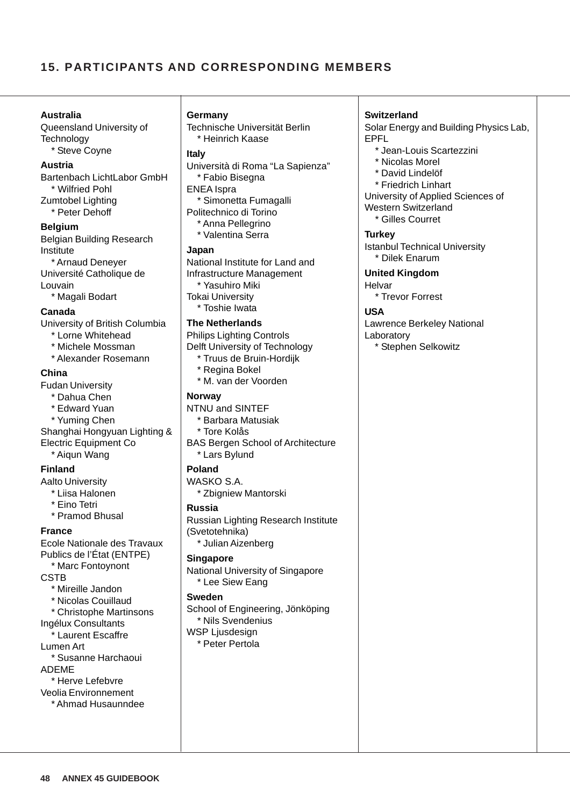## **15. PARTICIPANTS AND CORRESPONDING MEMBERS**

#### **Australia**

Queensland University of **Technology** \* Steve Coyne

#### **Austria**

Bartenbach LichtLabor GmbH \* Wilfried Pohl Zumtobel Lighting \* Peter Dehoff

#### **Belgium**

Belgian Building Research **Institute** \* Arnaud Deneyer Université Catholique de Louvain \* Magali Bodart

#### **Canada**

- University of British Columbia \* Lorne Whitehead \* Michele Mossman \* Alexander Rosemann **China** Fudan University \* Dahua Chen \* Edward Yuan \* Yuming Chen Shanghai Hongyuan Lighting & Electric Equipment Co \* Aiqun Wang **Finland**
- Aalto University
	- \* Liisa Halonen \* Eino Tetri
	- \* Pramod Bhusal

**France**

Ecole Nationale des Travaux Publics de l'État (ENTPE) \* Marc Fontoynont **CSTB** \* Mireille Jandon \* Nicolas Couillaud \* Christophe Martinsons Ingélux Consultants \* Laurent Escaffre Lumen Art \* Susanne Harchaoui ADEME \* Herve Lefebvre Veolia Environnement \* Ahmad Husaunndee

**Germany**

Technische Universität Berlin \* Heinrich Kaase

#### **Italy**

Università di Roma "La Sapienza" \* Fabio Bisegna ENEA Ispra \* Simonetta Fumagalli Politechnico di Torino \* Anna Pellegrino \* Valentina Serra **Japan** National Institute for Land and Infrastructure Management

\* Yasuhiro Miki Tokai University \* Toshie Iwata

#### **The Netherlands**

Philips Lighting Controls Delft University of Technology \* Truus de Bruin-Hordijk \* Regina Bokel \* M. van der Voorden **Norway** NTNU and SINTEF \* Barbara Matusiak \* Tore Kolås BAS Bergen School of Architecture \* Lars Bylund **Poland** WASKO S.A. \* Zbigniew Mantorski **Russia** Russian Lighting Research Institute (Svetotehnika) \* Julian Aizenberg **Singapore** National University of Singapore \* Lee Siew Eang **Sweden** School of Engineering, Jönköping \* Nils Svendenius WSP Liusdesign \* Peter Pertola

#### **Switzerland**

Solar Energy and Building Physics Lab, EPFL

- \* Jean-Louis Scartezzini
- \* Nicolas Morel
- \* David Lindelöf

\* Friedrich Linhart University of Applied Sciences of Western Switzerland \* Gilles Courret

#### **Turkey**

Istanbul Technical University \* Dilek Enarum

**United Kingdom Helvar** 

\* Trevor Forrest

### **USA**

Lawrence Berkeley National Laboratory \* Stephen Selkowitz